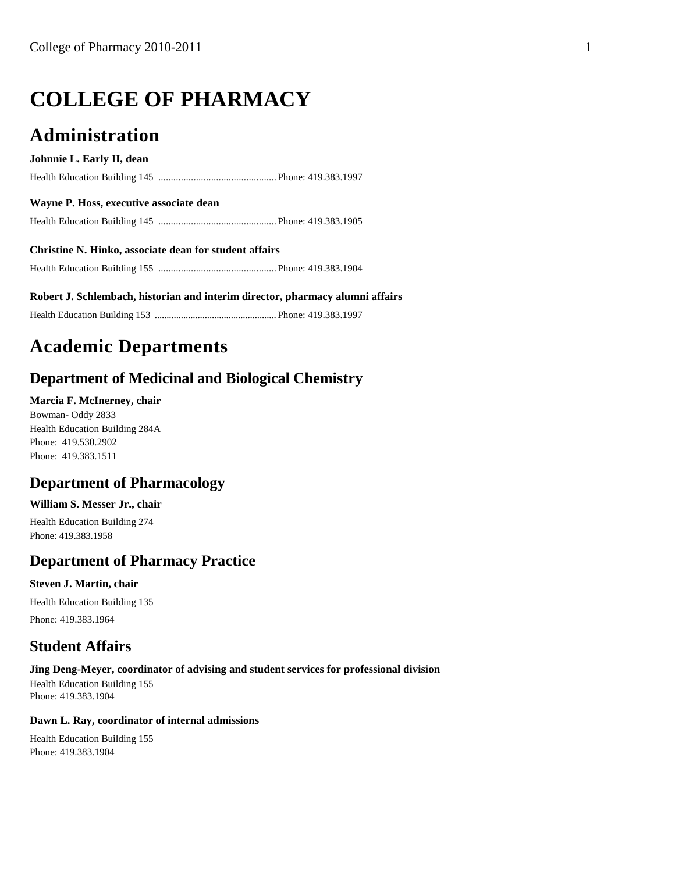# **COLLEGE OF PHARMACY**

# **Administration**

### **Johnnie L. Early II, dean**

Health Education Building 145 ...............................................Phone: 419.383.1997

### **Wayne P. Hoss, executive associate dean**

Health Education Building 145 ...............................................Phone: 419.383.1905

### **Christine N. Hinko, associate dean for student affairs** Health Education Building 155 ...............................................Phone: 419.383.1904

**Robert J. Schlembach, historian and interim director, pharmacy alumni affairs**

Health Education Building 153 ................................................... Phone: 419.383.1997

# **Academic Departments**

# **Department of Medicinal and Biological Chemistry**

### **Marcia F. McInerney, chair**

Bowman- Oddy 2833 Health Education Building 284A Phone: 419.530.2902 Phone: 419.383.1511

# **Department of Pharmacology**

### **William S. Messer Jr., chair**

Health Education Building 274 Phone: 419.383.1958

# **Department of Pharmacy Practice**

### **Steven J. Martin, chair**

Health Education Building 135 Phone: 419.383.1964

# **Student Affairs**

### **Jing Deng-Meyer, coordinator of advising and student services for professional division**

Health Education Building 155 Phone: 419.383.1904

### **Dawn L. Ray, coordinator of internal admissions**

Health Education Building 155 Phone: 419.383.1904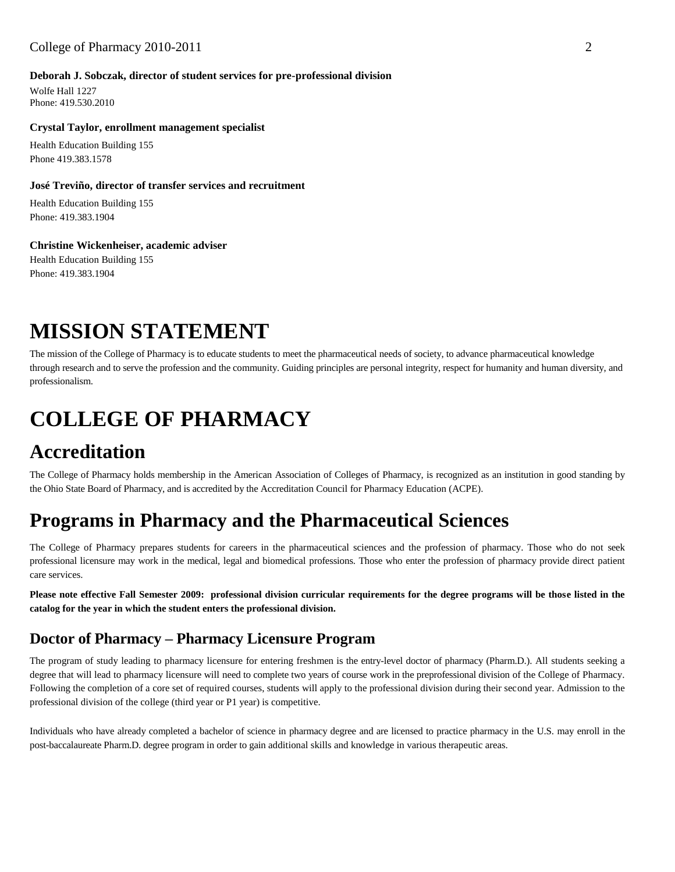### **Deborah J. Sobczak, director of student services for pre-professional division**

Wolfe Hall 1227 Phone: 419.530.2010

### **Crystal Taylor, enrollment management specialist**

Health Education Building 155 Phone 419.383.1578

### **José Treviño, director of transfer services and recruitment**

Health Education Building 155 Phone: 419.383.1904

**Christine Wickenheiser, academic adviser** Health Education Building 155 Phone: 419.383.1904

# **MISSION STATEMENT**

The mission of the College of Pharmacy is to educate students to meet the pharmaceutical needs of society, to advance pharmaceutical knowledge through research and to serve the profession and the community. Guiding principles are personal integrity, respect for humanity and human diversity, and professionalism.

# **COLLEGE OF PHARMACY**

# **Accreditation**

The College of Pharmacy holds membership in the American Association of Colleges of Pharmacy, is recognized as an institution in good standing by the Ohio State Board of Pharmacy, and is accredited by the Accreditation Council for Pharmacy Education (ACPE).

# **Programs in Pharmacy and the Pharmaceutical Sciences**

The College of Pharmacy prepares students for careers in the pharmaceutical sciences and the profession of pharmacy. Those who do not seek professional licensure may work in the medical, legal and biomedical professions. Those who enter the profession of pharmacy provide direct patient care services.

**Please note effective Fall Semester 2009: professional division curricular requirements for the degree programs will be those listed in the catalog for the year in which the student enters the professional division.**

# **Doctor of Pharmacy – Pharmacy Licensure Program**

The program of study leading to pharmacy licensure for entering freshmen is the entry-level doctor of pharmacy (Pharm.D.). All students seeking a degree that will lead to pharmacy licensure will need to complete two years of course work in the preprofessional division of the College of Pharmacy. Following the completion of a core set of required courses, students will apply to the professional division during their second year. Admission to the professional division of the college (third year or P1 year) is competitive.

Individuals who have already completed a bachelor of science in pharmacy degree and are licensed to practice pharmacy in the U.S. may enroll in the post-baccalaureate Pharm.D. degree program in order to gain additional skills and knowledge in various therapeutic areas.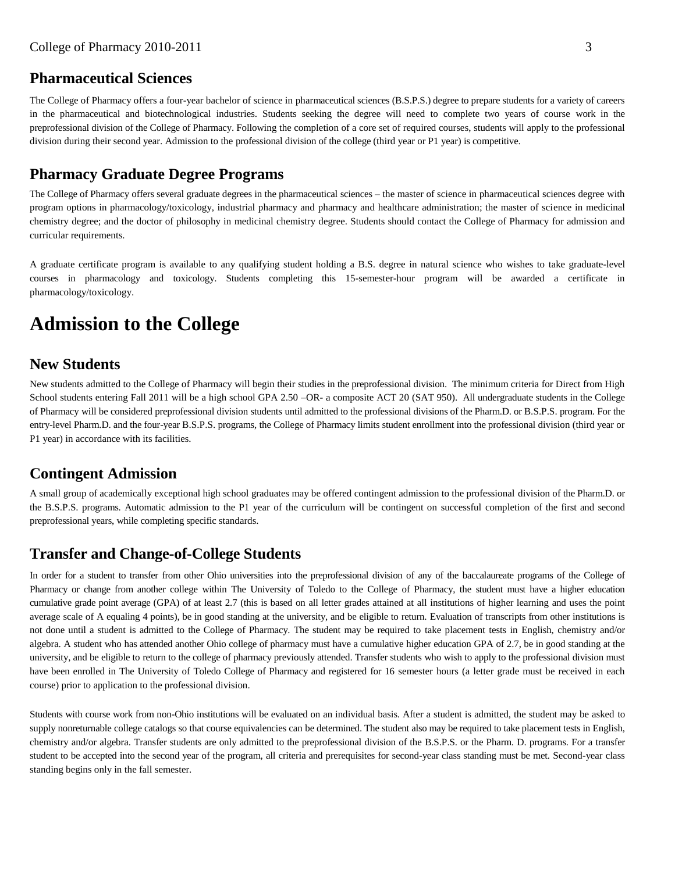# **Pharmaceutical Sciences**

The College of Pharmacy offers a four-year bachelor of science in pharmaceutical sciences (B.S.P.S.) degree to prepare students for a variety of careers in the pharmaceutical and biotechnological industries. Students seeking the degree will need to complete two years of course work in the preprofessional division of the College of Pharmacy. Following the completion of a core set of required courses, students will apply to the professional division during their second year. Admission to the professional division of the college (third year or P1 year) is competitive.

# **Pharmacy Graduate Degree Programs**

The College of Pharmacy offers several graduate degrees in the pharmaceutical sciences – the master of science in pharmaceutical sciences degree with program options in pharmacology/toxicology, industrial pharmacy and pharmacy and healthcare administration; the master of science in medicinal chemistry degree; and the doctor of philosophy in medicinal chemistry degree. Students should contact the College of Pharmacy for admission and curricular requirements.

A graduate certificate program is available to any qualifying student holding a B.S. degree in natural science who wishes to take graduate-level courses in pharmacology and toxicology. Students completing this 15-semester-hour program will be awarded a certificate in pharmacology/toxicology.

# **Admission to the College**

# **New Students**

New students admitted to the College of Pharmacy will begin their studies in the preprofessional division. The minimum criteria for Direct from High School students entering Fall 2011 will be a high school GPA 2.50 –OR- a composite ACT 20 (SAT 950). All undergraduate students in the College of Pharmacy will be considered preprofessional division students until admitted to the professional divisions of the Pharm.D. or B.S.P.S. program. For the entry-level Pharm.D. and the four-year B.S.P.S. programs, the College of Pharmacy limits student enrollment into the professional division (third year or P1 year) in accordance with its facilities.

# **Contingent Admission**

A small group of academically exceptional high school graduates may be offered contingent admission to the professional division of the Pharm.D. or the B.S.P.S. programs. Automatic admission to the P1 year of the curriculum will be contingent on successful completion of the first and second preprofessional years, while completing specific standards.

# **Transfer and Change-of-College Students**

In order for a student to transfer from other Ohio universities into the preprofessional division of any of the baccalaureate programs of the College of Pharmacy or change from another college within The University of Toledo to the College of Pharmacy, the student must have a higher education cumulative grade point average (GPA) of at least 2.7 (this is based on all letter grades attained at all institutions of higher learning and uses the point average scale of A equaling 4 points), be in good standing at the university, and be eligible to return. Evaluation of transcripts from other institutions is not done until a student is admitted to the College of Pharmacy. The student may be required to take placement tests in English, chemistry and/or algebra. A student who has attended another Ohio college of pharmacy must have a cumulative higher education GPA of 2.7, be in good standing at the university, and be eligible to return to the college of pharmacy previously attended. Transfer students who wish to apply to the professional division must have been enrolled in The University of Toledo College of Pharmacy and registered for 16 semester hours (a letter grade must be received in each course) prior to application to the professional division.

Students with course work from non-Ohio institutions will be evaluated on an individual basis. After a student is admitted, the student may be asked to supply nonreturnable college catalogs so that course equivalencies can be determined. The student also may be required to take placement tests in English, chemistry and/or algebra. Transfer students are only admitted to the preprofessional division of the B.S.P.S. or the Pharm. D. programs. For a transfer student to be accepted into the second year of the program, all criteria and prerequisites for second-year class standing must be met. Second-year class standing begins only in the fall semester.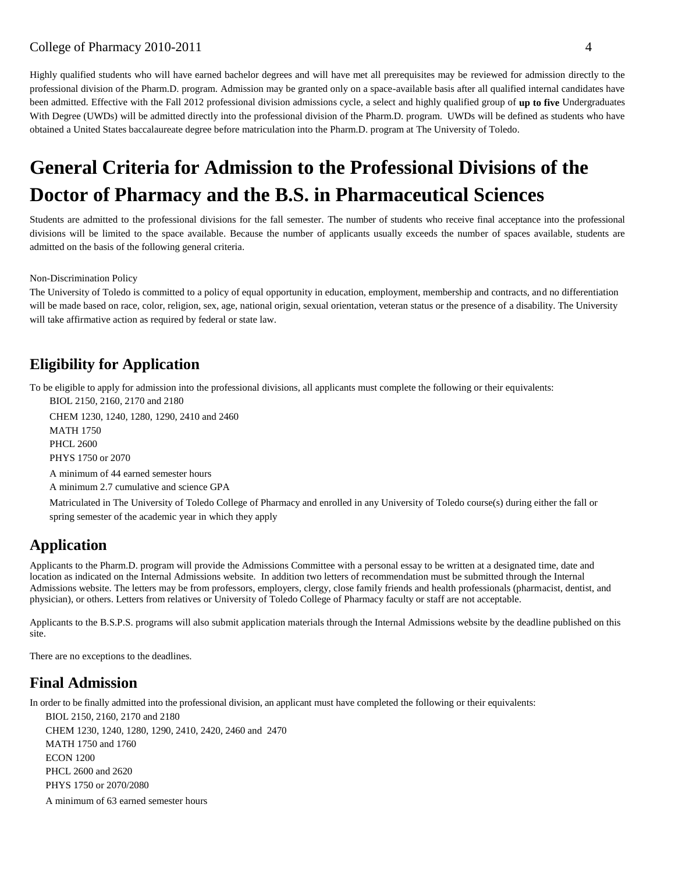Highly qualified students who will have earned bachelor degrees and will have met all prerequisites may be reviewed for admission directly to the professional division of the Pharm.D. program. Admission may be granted only on a space-available basis after all qualified internal candidates have been admitted. Effective with the Fall 2012 professional division admissions cycle, a select and highly qualified group of **up to five** Undergraduates With Degree (UWDs) will be admitted directly into the professional division of the Pharm.D. program. UWDs will be defined as students who have obtained a United States baccalaureate degree before matriculation into the Pharm.D. program at The University of Toledo.

# **General Criteria for Admission to the Professional Divisions of the Doctor of Pharmacy and the B.S. in Pharmaceutical Sciences**

Students are admitted to the professional divisions for the fall semester. The number of students who receive final acceptance into the professional divisions will be limited to the space available. Because the number of applicants usually exceeds the number of spaces available, students are admitted on the basis of the following general criteria.

Non-Discrimination Policy

The University of Toledo is committed to a policy of equal opportunity in education, employment, membership and contracts, and no differentiation will be made based on race, color, religion, sex, age, national origin, sexual orientation, veteran status or the presence of a disability. The University will take affirmative action as required by federal or state law.

# **Eligibility for Application**

To be eligible to apply for admission into the professional divisions, all applicants must complete the following or their equivalents:

BIOL 2150, 2160, 2170 and 2180 CHEM 1230, 1240, 1280, 1290, 2410 and 2460 MATH 1750 PHCL 2600 PHYS 1750 or 2070 A minimum of 44 earned semester hours A minimum 2.7 cumulative and science GPA

Matriculated in The University of Toledo College of Pharmacy and enrolled in any University of Toledo course(s) during either the fall or spring semester of the academic year in which they apply

# **Application**

Applicants to the Pharm.D. program will provide the Admissions Committee with a personal essay to be written at a designated time, date and location as indicated on the Internal Admissions website. In addition two letters of recommendation must be submitted through the Internal Admissions website. The letters may be from professors, employers, clergy, close family friends and health professionals (pharmacist, dentist, and physician), or others. Letters from relatives or University of Toledo College of Pharmacy faculty or staff are not acceptable.

Applicants to the B.S.P.S. programs will also submit application materials through the Internal Admissions website by the deadline published on this site.

There are no exceptions to the deadlines.

# **Final Admission**

In order to be finally admitted into the professional division, an applicant must have completed the following or their equivalents:

BIOL 2150, 2160, 2170 and 2180 CHEM 1230, 1240, 1280, 1290, 2410, 2420, 2460 and 2470 MATH 1750 and 1760 ECON 1200 PHCL 2600 and 2620 PHYS 1750 or 2070/2080 A minimum of 63 earned semester hours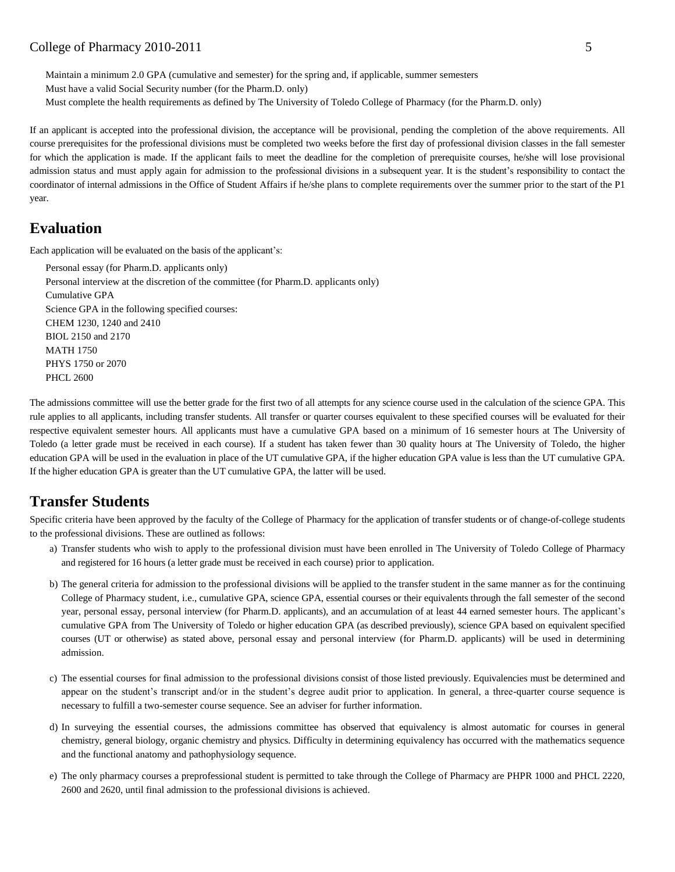Maintain a minimum 2.0 GPA (cumulative and semester) for the spring and, if applicable, summer semesters Must have a valid Social Security number (for the Pharm.D. only) Must complete the health requirements as defined by The University of Toledo College of Pharmacy (for the Pharm.D. only)

If an applicant is accepted into the professional division, the acceptance will be provisional, pending the completion of the above requirements. All course prerequisites for the professional divisions must be completed two weeks before the first day of professional division classes in the fall semester for which the application is made. If the applicant fails to meet the deadline for the completion of prerequisite courses, he/she will lose provisional admission status and must apply again for admission to the professional divisions in a subsequent year. It is the student's responsibility to contact the coordinator of internal admissions in the Office of Student Affairs if he/she plans to complete requirements over the summer prior to the start of the P1 year.

# **Evaluation**

Each application will be evaluated on the basis of the applicant's:

```
Personal essay (for Pharm.D. applicants only)
Personal interview at the discretion of the committee (for Pharm.D. applicants only)
Cumulative GPA
Science GPA in the following specified courses:
CHEM 1230, 1240 and 2410
BIOL 2150 and 2170
MATH 1750
PHYS 1750 or 2070
PHCL 2600
```
The admissions committee will use the better grade for the first two of all attempts for any science course used in the calculation of the science GPA. This rule applies to all applicants, including transfer students. All transfer or quarter courses equivalent to these specified courses will be evaluated for their respective equivalent semester hours. All applicants must have a cumulative GPA based on a minimum of 16 semester hours at The University of Toledo (a letter grade must be received in each course). If a student has taken fewer than 30 quality hours at The University of Toledo, the higher education GPA will be used in the evaluation in place of the UT cumulative GPA, if the higher education GPA value is less than the UT cumulative GPA. If the higher education GPA is greater than the UT cumulative GPA, the latter will be used.

# **Transfer Students**

Specific criteria have been approved by the faculty of the College of Pharmacy for the application of transfer students or of change-of-college students to the professional divisions. These are outlined as follows:

- a) Transfer students who wish to apply to the professional division must have been enrolled in The University of Toledo College of Pharmacy and registered for 16 hours (a letter grade must be received in each course) prior to application.
- b) The general criteria for admission to the professional divisions will be applied to the transfer student in the same manner as for the continuing College of Pharmacy student, i.e., cumulative GPA, science GPA, essential courses or their equivalents through the fall semester of the second year, personal essay, personal interview (for Pharm.D. applicants), and an accumulation of at least 44 earned semester hours. The applicant's cumulative GPA from The University of Toledo or higher education GPA (as described previously), science GPA based on equivalent specified courses (UT or otherwise) as stated above, personal essay and personal interview (for Pharm.D. applicants) will be used in determining admission.
- c) The essential courses for final admission to the professional divisions consist of those listed previously. Equivalencies must be determined and appear on the student's transcript and/or in the student's degree audit prior to application. In general, a three-quarter course sequence is necessary to fulfill a two-semester course sequence. See an adviser for further information.
- d) In surveying the essential courses, the admissions committee has observed that equivalency is almost automatic for courses in general chemistry, general biology, organic chemistry and physics. Difficulty in determining equivalency has occurred with the mathematics sequence and the functional anatomy and pathophysiology sequence.
- e) The only pharmacy courses a preprofessional student is permitted to take through the College of Pharmacy are PHPR 1000 and PHCL 2220, 2600 and 2620, until final admission to the professional divisions is achieved.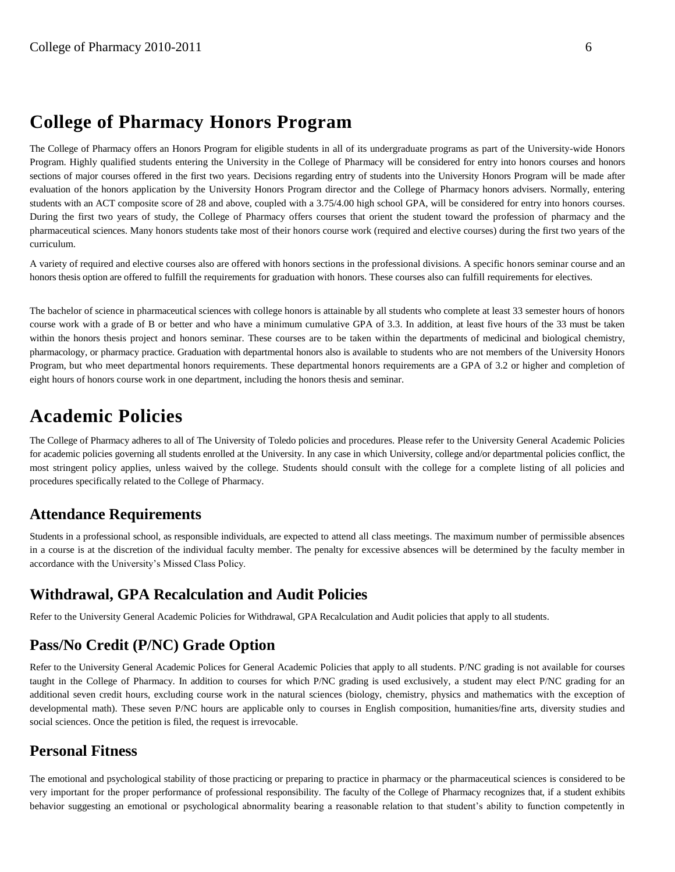# **College of Pharmacy Honors Program**

The College of Pharmacy offers an Honors Program for eligible students in all of its undergraduate programs as part of the University-wide Honors Program. Highly qualified students entering the University in the College of Pharmacy will be considered for entry into honors courses and honors sections of major courses offered in the first two years. Decisions regarding entry of students into the University Honors Program will be made after evaluation of the honors application by the University Honors Program director and the College of Pharmacy honors advisers. Normally, entering students with an ACT composite score of 28 and above, coupled with a 3.75/4.00 high school GPA, will be considered for entry into honors courses. During the first two years of study, the College of Pharmacy offers courses that orient the student toward the profession of pharmacy and the pharmaceutical sciences. Many honors students take most of their honors course work (required and elective courses) during the first two years of the curriculum.

A variety of required and elective courses also are offered with honors sections in the professional divisions. A specific honors seminar course and an honors thesis option are offered to fulfill the requirements for graduation with honors. These courses also can fulfill requirements for electives.

The bachelor of science in pharmaceutical sciences with college honors is attainable by all students who complete at least 33 semester hours of honors course work with a grade of B or better and who have a minimum cumulative GPA of 3.3. In addition, at least five hours of the 33 must be taken within the honors thesis project and honors seminar. These courses are to be taken within the departments of medicinal and biological chemistry, pharmacology, or pharmacy practice. Graduation with departmental honors also is available to students who are not members of the University Honors Program, but who meet departmental honors requirements. These departmental honors requirements are a GPA of 3.2 or higher and completion of eight hours of honors course work in one department, including the honors thesis and seminar.

# **Academic Policies**

The College of Pharmacy adheres to all of The University of Toledo policies and procedures. Please refer to the University General Academic Policies for academic policies governing all students enrolled at the University. In any case in which University, college and/or departmental policies conflict, the most stringent policy applies, unless waived by the college. Students should consult with the college for a complete listing of all policies and procedures specifically related to the College of Pharmacy.

# **Attendance Requirements**

Students in a professional school, as responsible individuals, are expected to attend all class meetings. The maximum number of permissible absences in a course is at the discretion of the individual faculty member. The penalty for excessive absences will be determined by the faculty member in accordance with the University's Missed Class Policy.

# **Withdrawal, GPA Recalculation and Audit Policies**

Refer to the University General Academic Policies for Withdrawal, GPA Recalculation and Audit policies that apply to all students.

# **Pass/No Credit (P/NC) Grade Option**

Refer to the University General Academic Polices for General Academic Policies that apply to all students. P/NC grading is not available for courses taught in the College of Pharmacy. In addition to courses for which P/NC grading is used exclusively, a student may elect P/NC grading for an additional seven credit hours, excluding course work in the natural sciences (biology, chemistry, physics and mathematics with the exception of developmental math). These seven P/NC hours are applicable only to courses in English composition, humanities/fine arts, diversity studies and social sciences. Once the petition is filed, the request is irrevocable.

# **Personal Fitness**

The emotional and psychological stability of those practicing or preparing to practice in pharmacy or the pharmaceutical sciences is considered to be very important for the proper performance of professional responsibility. The faculty of the College of Pharmacy recognizes that, if a student exhibits behavior suggesting an emotional or psychological abnormality bearing a reasonable relation to that student's ability to function competently in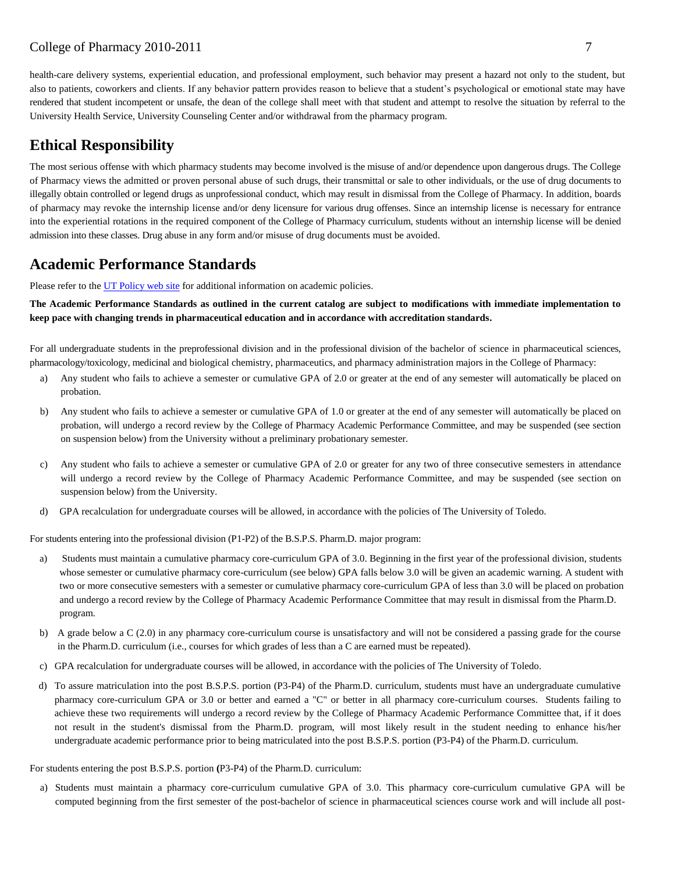health-care delivery systems, experiential education, and professional employment, such behavior may present a hazard not only to the student, but also to patients, coworkers and clients. If any behavior pattern provides reason to believe that a student's psychological or emotional state may have rendered that student incompetent or unsafe, the dean of the college shall meet with that student and attempt to resolve the situation by referral to the University Health Service, University Counseling Center and/or withdrawal from the pharmacy program.

# **Ethical Responsibility**

The most serious offense with which pharmacy students may become involved is the misuse of and/or dependence upon dangerous drugs. The College of Pharmacy views the admitted or proven personal abuse of such drugs, their transmittal or sale to other individuals, or the use of drug documents to illegally obtain controlled or legend drugs as unprofessional conduct, which may result in dismissal from the College of Pharmacy. In addition, boards of pharmacy may revoke the internship license and/or deny licensure for various drug offenses. Since an internship license is necessary for entrance into the experiential rotations in the required component of the College of Pharmacy curriculum, students without an internship license will be denied admission into these classes. Drug abuse in any form and/or misuse of drug documents must be avoided.

# **Academic Performance Standards**

Please refer to the [UT Policy web site](http://utoledo.edu/policies/) for additional information on academic policies.

**The Academic Performance Standards as outlined in the current catalog are subject to modifications with immediate implementation to keep pace with changing trends in pharmaceutical education and in accordance with accreditation standards.**

For all undergraduate students in the preprofessional division and in the professional division of the bachelor of science in pharmaceutical sciences, pharmacology/toxicology, medicinal and biological chemistry, pharmaceutics, and pharmacy administration majors in the College of Pharmacy:

- a) Any student who fails to achieve a semester or cumulative GPA of 2.0 or greater at the end of any semester will automatically be placed on probation.
- b) Any student who fails to achieve a semester or cumulative GPA of 1.0 or greater at the end of any semester will automatically be placed on probation, will undergo a record review by the College of Pharmacy Academic Performance Committee, and may be suspended (see section on suspension below) from the University without a preliminary probationary semester.
- c) Any student who fails to achieve a semester or cumulative GPA of 2.0 or greater for any two of three consecutive semesters in attendance will undergo a record review by the College of Pharmacy Academic Performance Committee, and may be suspended (see section on suspension below) from the University.
- d) GPA recalculation for undergraduate courses will be allowed, in accordance with the policies of The University of Toledo.

For students entering into the professional division (P1-P2) of the B.S.P.S. Pharm.D. major program:

- a) Students must maintain a cumulative pharmacy core-curriculum GPA of 3.0. Beginning in the first year of the professional division, students whose semester or cumulative pharmacy core-curriculum (see below) GPA falls below 3.0 will be given an academic warning. A student with two or more consecutive semesters with a semester or cumulative pharmacy core-curriculum GPA of less than 3.0 will be placed on probation and undergo a record review by the College of Pharmacy Academic Performance Committee that may result in dismissal from the Pharm.D. program.
- b) A grade below a C (2.0) in any pharmacy core-curriculum course is unsatisfactory and will not be considered a passing grade for the course in the Pharm.D. curriculum (i.e., courses for which grades of less than a C are earned must be repeated).
- c) GPA recalculation for undergraduate courses will be allowed, in accordance with the policies of The University of Toledo.
- d) To assure matriculation into the post B.S.P.S. portion (P3-P4) of the Pharm.D. curriculum, students must have an undergraduate cumulative pharmacy core-curriculum GPA or 3.0 or better and earned a "C" or better in all pharmacy core-curriculum courses. Students failing to achieve these two requirements will undergo a record review by the College of Pharmacy Academic Performance Committee that, if it does not result in the student's dismissal from the Pharm.D. program, will most likely result in the student needing to enhance his/her undergraduate academic performance prior to being matriculated into the post B.S.P.S. portion (P3-P4) of the Pharm.D. curriculum.

For students entering the post B.S.P.S. portion **(**P3-P4) of the Pharm.D. curriculum:

a) Students must maintain a pharmacy core-curriculum cumulative GPA of 3.0. This pharmacy core-curriculum cumulative GPA will be computed beginning from the first semester of the post-bachelor of science in pharmaceutical sciences course work and will include all post-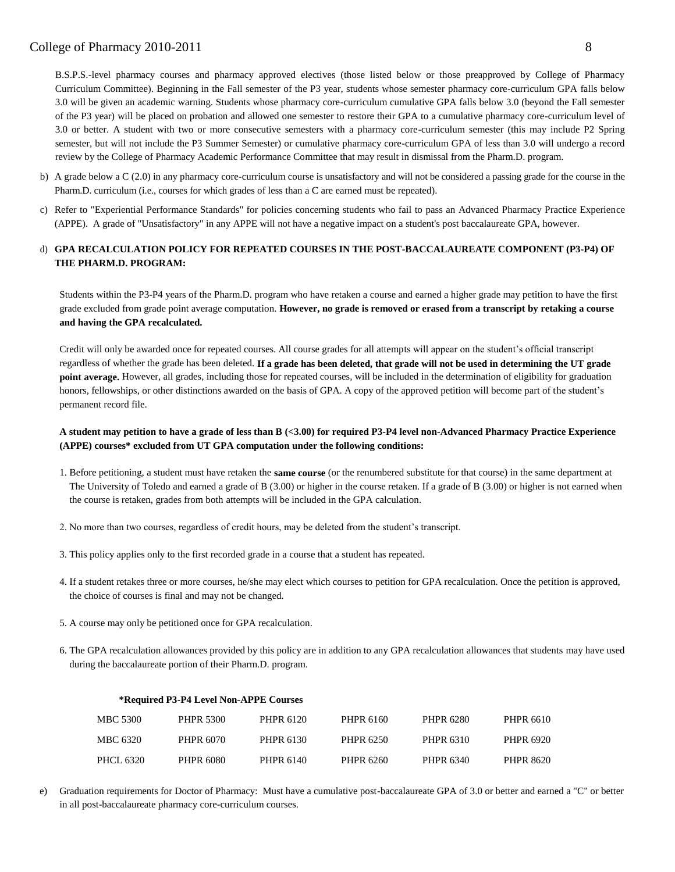B.S.P.S.-level pharmacy courses and pharmacy approved electives (those listed below or those preapproved by College of Pharmacy Curriculum Committee). Beginning in the Fall semester of the P3 year, students whose semester pharmacy core-curriculum GPA falls below 3.0 will be given an academic warning. Students whose pharmacy core-curriculum cumulative GPA falls below 3.0 (beyond the Fall semester of the P3 year) will be placed on probation and allowed one semester to restore their GPA to a cumulative pharmacy core-curriculum level of 3.0 or better. A student with two or more consecutive semesters with a pharmacy core-curriculum semester (this may include P2 Spring semester, but will not include the P3 Summer Semester) or cumulative pharmacy core-curriculum GPA of less than 3.0 will undergo a record review by the College of Pharmacy Academic Performance Committee that may result in dismissal from the Pharm.D. program.

- b) A grade below a C (2.0) in any pharmacy core-curriculum course is unsatisfactory and will not be considered a passing grade for the course in the Pharm.D. curriculum (i.e., courses for which grades of less than a C are earned must be repeated).
- c) Refer to "Experiential Performance Standards" for policies concerning students who fail to pass an Advanced Pharmacy Practice Experience (APPE). A grade of "Unsatisfactory" in any APPE will not have a negative impact on a student's post baccalaureate GPA, however.

### d) **GPA RECALCULATION POLICY FOR REPEATED COURSES IN THE POST-BACCALAUREATE COMPONENT (P3-P4) OF THE PHARM.D. PROGRAM:**

Students within the P3-P4 years of the Pharm.D. program who have retaken a course and earned a higher grade may petition to have the first grade excluded from grade point average computation. **However, no grade is removed or erased from a transcript by retaking a course and having the GPA recalculated.**

Credit will only be awarded once for repeated courses. All course grades for all attempts will appear on the student's official transcript regardless of whether the grade has been deleted. **If a grade has been deleted, that grade will not be used in determining the UT grade point average.** However, all grades, including those for repeated courses, will be included in the determination of eligibility for graduation honors, fellowships, or other distinctions awarded on the basis of GPA. A copy of the approved petition will become part of the student's permanent record file.

### **A student may petition to have a grade of less than B (<3.00) for required P3-P4 level non-Advanced Pharmacy Practice Experience (APPE) courses\* excluded from UT GPA computation under the following conditions:**

- 1. Before petitioning, a student must have retaken the **same course** (or the renumbered substitute for that course) in the same department at The University of Toledo and earned a grade of B (3.00) or higher in the course retaken. If a grade of B (3.00) or higher is not earned when the course is retaken, grades from both attempts will be included in the GPA calculation.
- 2. No more than two courses, regardless of credit hours, may be deleted from the student's transcript.
- 3. This policy applies only to the first recorded grade in a course that a student has repeated.
- 4. If a student retakes three or more courses, he/she may elect which courses to petition for GPA recalculation. Once the petition is approved, the choice of courses is final and may not be changed.
- 5. A course may only be petitioned once for GPA recalculation.
- 6. The GPA recalculation allowances provided by this policy are in addition to any GPA recalculation allowances that students may have used during the baccalaureate portion of their Pharm.D. program.

| *Required P3-P4 Level Non-APPE Courses |                  |           |           |           |                  |
|----------------------------------------|------------------|-----------|-----------|-----------|------------------|
| MBC 5300                               | <b>PHPR 5300</b> | PHPR 6120 | PHPR 6160 | PHPR 6280 | PHPR 6610        |
| MBC 6320                               | <b>PHPR 6070</b> | PHPR 6130 | PHPR 6250 | PHPR 6310 | PHPR 6920        |
| <b>PHCL 6320</b>                       | PHPR 6080        | PHPR 6140 | PHPR 6260 | PHPR 6340 | <b>PHPR 8620</b> |

e) Graduation requirements for Doctor of Pharmacy: Must have a cumulative post-baccalaureate GPA of 3.0 or better and earned a "C" or better in all post-baccalaureate pharmacy core-curriculum courses.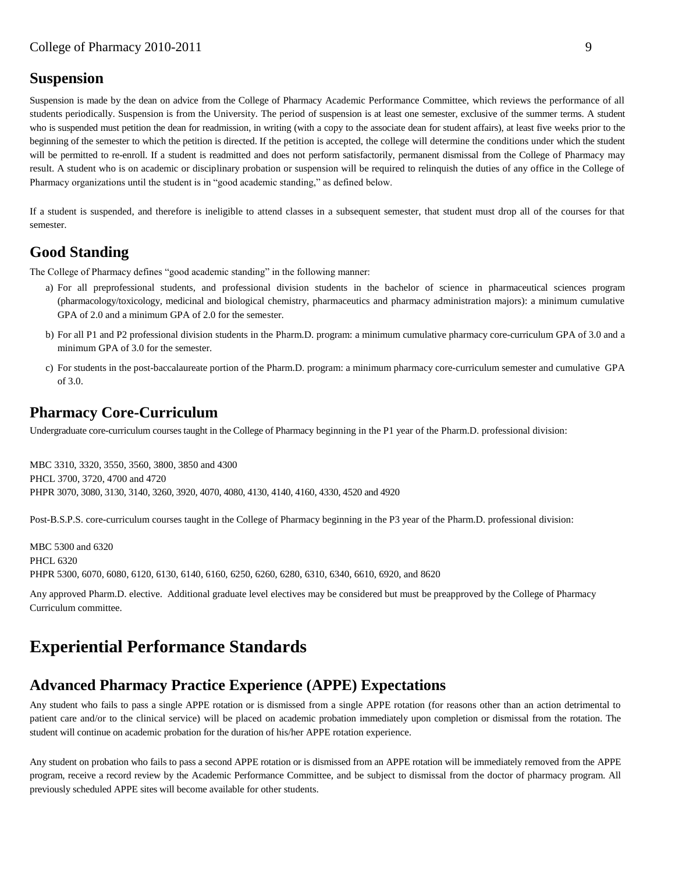# **Suspension**

Suspension is made by the dean on advice from the College of Pharmacy Academic Performance Committee, which reviews the performance of all students periodically. Suspension is from the University. The period of suspension is at least one semester, exclusive of the summer terms. A student who is suspended must petition the dean for readmission, in writing (with a copy to the associate dean for student affairs), at least five weeks prior to the beginning of the semester to which the petition is directed. If the petition is accepted, the college will determine the conditions under which the student will be permitted to re-enroll. If a student is readmitted and does not perform satisfactorily, permanent dismissal from the College of Pharmacy may result. A student who is on academic or disciplinary probation or suspension will be required to relinquish the duties of any office in the College of Pharmacy organizations until the student is in "good academic standing," as defined below.

If a student is suspended, and therefore is ineligible to attend classes in a subsequent semester, that student must drop all of the courses for that semester.

# **Good Standing**

The College of Pharmacy defines "good academic standing" in the following manner:

- a) For all preprofessional students, and professional division students in the bachelor of science in pharmaceutical sciences program (pharmacology/toxicology, medicinal and biological chemistry, pharmaceutics and pharmacy administration majors): a minimum cumulative GPA of 2.0 and a minimum GPA of 2.0 for the semester.
- b) For all P1 and P2 professional division students in the Pharm.D. program: a minimum cumulative pharmacy core-curriculum GPA of 3.0 and a minimum GPA of 3.0 for the semester.
- c) For students in the post-baccalaureate portion of the Pharm.D. program: a minimum pharmacy core-curriculum semester and cumulative GPA of 3.0.

# **Pharmacy Core-Curriculum**

Undergraduate core-curriculum courses taught in the College of Pharmacy beginning in the P1 year of the Pharm.D. professional division:

MBC 3310, 3320, 3550, 3560, 3800, 3850 and 4300 PHCL 3700, 3720, 4700 and 4720 PHPR 3070, 3080, 3130, 3140, 3260, 3920, 4070, 4080, 4130, 4140, 4160, 4330, 4520 and 4920

Post-B.S.P.S. core-curriculum courses taught in the College of Pharmacy beginning in the P3 year of the Pharm.D. professional division:

MBC 5300 and 6320 PHCL 6320 PHPR 5300, 6070, 6080, 6120, 6130, 6140, 6160, 6250, 6260, 6280, 6310, 6340, 6610, 6920, and 8620

Any approved Pharm.D. elective. Additional graduate level electives may be considered but must be preapproved by the College of Pharmacy Curriculum committee.

# **Experiential Performance Standards**

# **Advanced Pharmacy Practice Experience (APPE) Expectations**

Any student who fails to pass a single APPE rotation or is dismissed from a single APPE rotation (for reasons other than an action detrimental to patient care and/or to the clinical service) will be placed on academic probation immediately upon completion or dismissal from the rotation. The student will continue on academic probation for the duration of his/her APPE rotation experience.

Any student on probation who fails to pass a second APPE rotation or is dismissed from an APPE rotation will be immediately removed from the APPE program, receive a record review by the Academic Performance Committee, and be subject to dismissal from the doctor of pharmacy program. All previously scheduled APPE sites will become available for other students.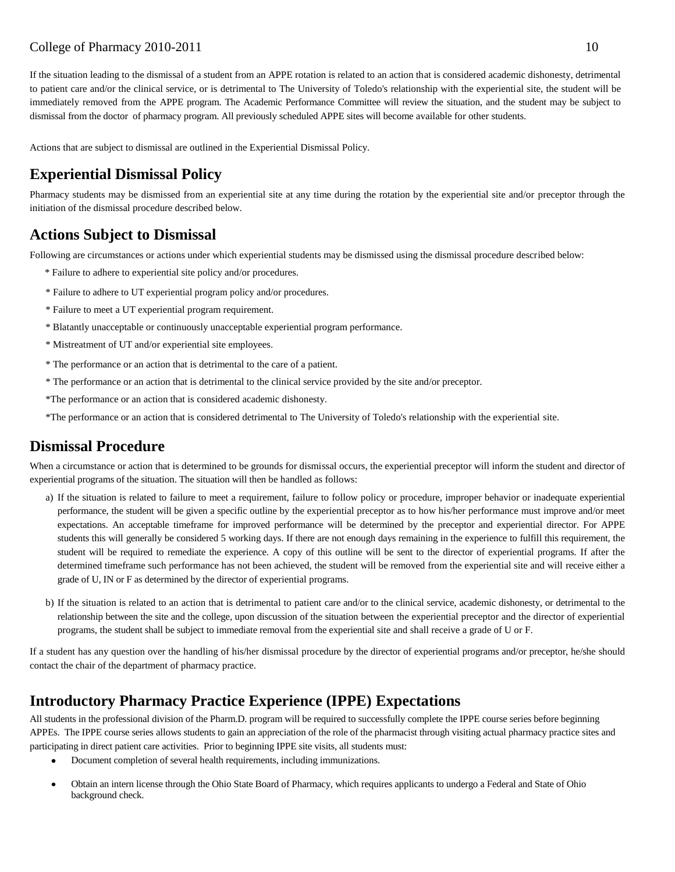If the situation leading to the dismissal of a student from an APPE rotation is related to an action that is considered academic dishonesty, detrimental to patient care and/or the clinical service, or is detrimental to The University of Toledo's relationship with the experiential site, the student will be immediately removed from the APPE program. The Academic Performance Committee will review the situation, and the student may be subject to dismissal from the doctor of pharmacy program. All previously scheduled APPE sites will become available for other students.

Actions that are subject to dismissal are outlined in the Experiential Dismissal Policy.

# **Experiential Dismissal Policy**

Pharmacy students may be dismissed from an experiential site at any time during the rotation by the experiential site and/or preceptor through the initiation of the dismissal procedure described below.

# **Actions Subject to Dismissal**

Following are circumstances or actions under which experiential students may be dismissed using the dismissal procedure described below:

- \* Failure to adhere to experiential site policy and/or procedures.
- \* Failure to adhere to UT experiential program policy and/or procedures.
- \* Failure to meet a UT experiential program requirement.
- \* Blatantly unacceptable or continuously unacceptable experiential program performance.
- \* Mistreatment of UT and/or experiential site employees.
- \* The performance or an action that is detrimental to the care of a patient.
- \* The performance or an action that is detrimental to the clinical service provided by the site and/or preceptor.
- \*The performance or an action that is considered academic dishonesty.

\*The performance or an action that is considered detrimental to The University of Toledo's relationship with the experiential site.

# **Dismissal Procedure**

When a circumstance or action that is determined to be grounds for dismissal occurs, the experiential preceptor will inform the student and director of experiential programs of the situation. The situation will then be handled as follows:

- a) If the situation is related to failure to meet a requirement, failure to follow policy or procedure, improper behavior or inadequate experiential performance, the student will be given a specific outline by the experiential preceptor as to how his/her performance must improve and/or meet expectations. An acceptable timeframe for improved performance will be determined by the preceptor and experiential director. For APPE students this will generally be considered 5 working days. If there are not enough days remaining in the experience to fulfill this requirement, the student will be required to remediate the experience. A copy of this outline will be sent to the director of experiential programs. If after the determined timeframe such performance has not been achieved, the student will be removed from the experiential site and will receive either a grade of U, IN or F as determined by the director of experiential programs.
- b) If the situation is related to an action that is detrimental to patient care and/or to the clinical service, academic dishonesty, or detrimental to the relationship between the site and the college, upon discussion of the situation between the experiential preceptor and the director of experiential programs, the student shall be subject to immediate removal from the experiential site and shall receive a grade of U or F.

If a student has any question over the handling of his/her dismissal procedure by the director of experiential programs and/or preceptor, he/she should contact the chair of the department of pharmacy practice.

# **Introductory Pharmacy Practice Experience (IPPE) Expectations**

All students in the professional division of the Pharm.D. program will be required to successfully complete the IPPE course series before beginning APPEs. The IPPE course series allows students to gain an appreciation of the role of the pharmacist through visiting actual pharmacy practice sites and participating in direct patient care activities. Prior to beginning IPPE site visits, all students must:

- Document completion of several health requirements, including immunizations.
- Obtain an intern license through the Ohio State Board of Pharmacy, which requires applicants to undergo a Federal and State of Ohio background check.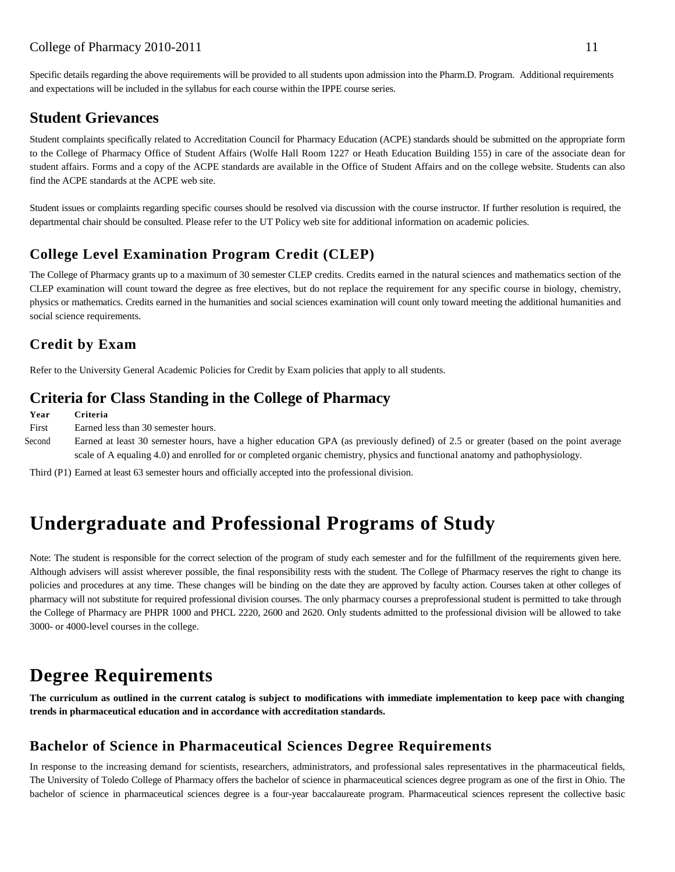Specific details regarding the above requirements will be provided to all students upon admission into the Pharm.D. Program. Additional requirements and expectations will be included in the syllabus for each course within the IPPE course series.

# **Student Grievances**

Student complaints specifically related to Accreditation Council for Pharmacy Education (ACPE) standards should be submitted on the appropriate form to the College of Pharmacy Office of Student Affairs (Wolfe Hall Room 1227 or Heath Education Building 155) in care of the associate dean for student affairs. Forms and a copy of the ACPE standards are available in the Office of Student Affairs and on the college website. Students can also find the ACPE standards at the ACPE web site.

Student issues or complaints regarding specific courses should be resolved via discussion with the course instructor. If further resolution is required, the departmental chair should be consulted. Please refer to the UT Policy web site for additional information on academic policies.

# **College Level Examination Program Credit (CLEP)**

The College of Pharmacy grants up to a maximum of 30 semester CLEP credits. Credits earned in the natural sciences and mathematics section of the CLEP examination will count toward the degree as free electives, but do not replace the requirement for any specific course in biology, chemistry, physics or mathematics. Credits earned in the humanities and social sciences examination will count only toward meeting the additional humanities and social science requirements.

# **Credit by Exam**

Refer to the University General Academic Policies for Credit by Exam policies that apply to all students.

# **Criteria for Class Standing in the College of Pharmacy**

**Year Criteria**

- First Earned less than 30 semester hours.
- Second Earned at least 30 semester hours, have a higher education GPA (as previously defined) of 2.5 or greater (based on the point average scale of A equaling 4.0) and enrolled for or completed organic chemistry, physics and functional anatomy and pathophysiology.

Third (P1) Earned at least 63 semester hours and officially accepted into the professional division.

# **Undergraduate and Professional Programs of Study**

Note: The student is responsible for the correct selection of the program of study each semester and for the fulfillment of the requirements given here. Although advisers will assist wherever possible, the final responsibility rests with the student. The College of Pharmacy reserves the right to change its policies and procedures at any time. These changes will be binding on the date they are approved by faculty action. Courses taken at other colleges of pharmacy will not substitute for required professional division courses. The only pharmacy courses a preprofessional student is permitted to take through the College of Pharmacy are PHPR 1000 and PHCL 2220, 2600 and 2620. Only students admitted to the professional division will be allowed to take 3000- or 4000-level courses in the college.

# **Degree Requirements**

**The curriculum as outlined in the current catalog is subject to modifications with immediate implementation to keep pace with changing trends in pharmaceutical education and in accordance with accreditation standards.**

# **Bachelor of Science in Pharmaceutical Sciences Degree Requirements**

In response to the increasing demand for scientists, researchers, administrators, and professional sales representatives in the pharmaceutical fields, The University of Toledo College of Pharmacy offers the bachelor of science in pharmaceutical sciences degree program as one of the first in Ohio. The bachelor of science in pharmaceutical sciences degree is a four-year baccalaureate program. Pharmaceutical sciences represent the collective basic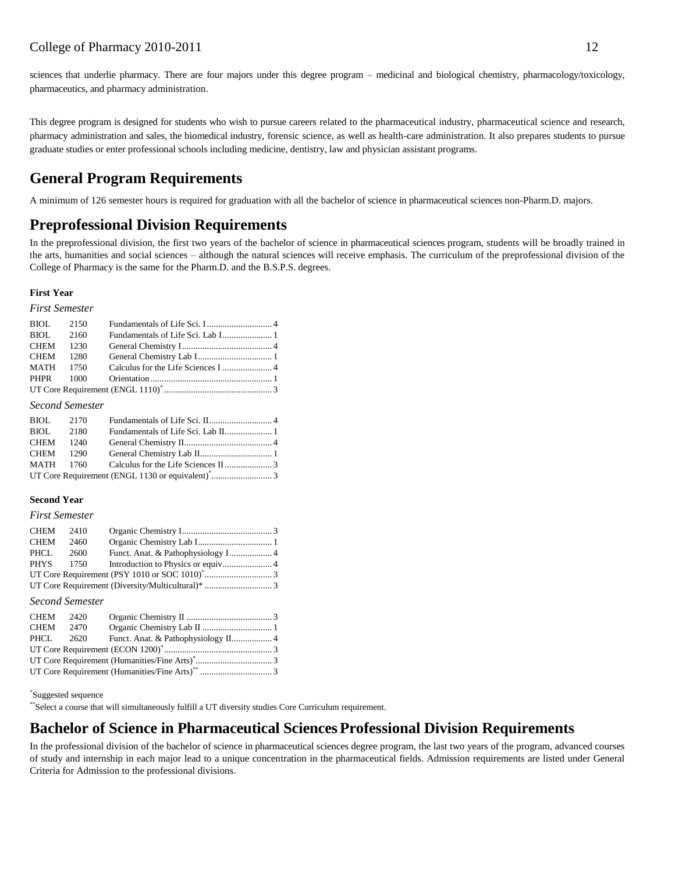sciences that underlie pharmacy. There are four majors under this degree program – medicinal and biological chemistry, pharmacology/toxicology, pharmaceutics, and pharmacy administration.

This degree program is designed for students who wish to pursue careers related to the pharmaceutical industry, pharmaceutical science and research, pharmacy administration and sales, the biomedical industry, forensic science, as well as health-care administration. It also prepares students to pursue graduate studies or enter professional schools including medicine, dentistry, law and physician assistant programs.

# **General Program Requirements**

A minimum of 126 semester hours is required for graduation with all the bachelor of science in pharmaceutical sciences non-Pharm.D. majors.

# **Preprofessional Division Requirements**

In the preprofessional division, the first two years of the bachelor of science in pharmaceutical sciences program, students will be broadly trained in the arts, humanities and social sciences – although the natural sciences will receive emphasis. The curriculum of the preprofessional division of the College of Pharmacy is the same for the Pharm.D. and the B.S.P.S. degrees.

#### **First Year**

#### *First Semester*

| BIOL 2150 |  |  |
|-----------|--|--|
| BIOL 2160 |  |  |
| CHEM 1230 |  |  |
| CHEM 1280 |  |  |
| MATH 1750 |  |  |
|           |  |  |
|           |  |  |

#### *Second Semester*

| BIOL 2170 |  |  |
|-----------|--|--|
| BIOL 2180 |  |  |
| CHEM 1240 |  |  |
| CHEM 1290 |  |  |
|           |  |  |
|           |  |  |
|           |  |  |

#### **Second Year**

#### *First Semester*

| CHEM 2410 |      |  |
|-----------|------|--|
| CHEM      | 2460 |  |
| PHCL      | 2600 |  |
| PHYS 1750 |      |  |
|           |      |  |
|           |      |  |

#### *Second Semester*

| CHEM 2420 |  |  |
|-----------|--|--|
| CHEM 2470 |  |  |
|           |  |  |
|           |  |  |
|           |  |  |
|           |  |  |
|           |  |  |

#### \* Suggested sequence

\*\*Select a course that will simultaneously fulfill a UT diversity studies Core Curriculum requirement.

# **Bachelor of Science in Pharmaceutical SciencesProfessional Division Requirements**

In the professional division of the bachelor of science in pharmaceutical sciences degree program, the last two years of the program, advanced courses of study and internship in each major lead to a unique concentration in the pharmaceutical fields. Admission requirements are listed under General Criteria for Admission to the professional divisions.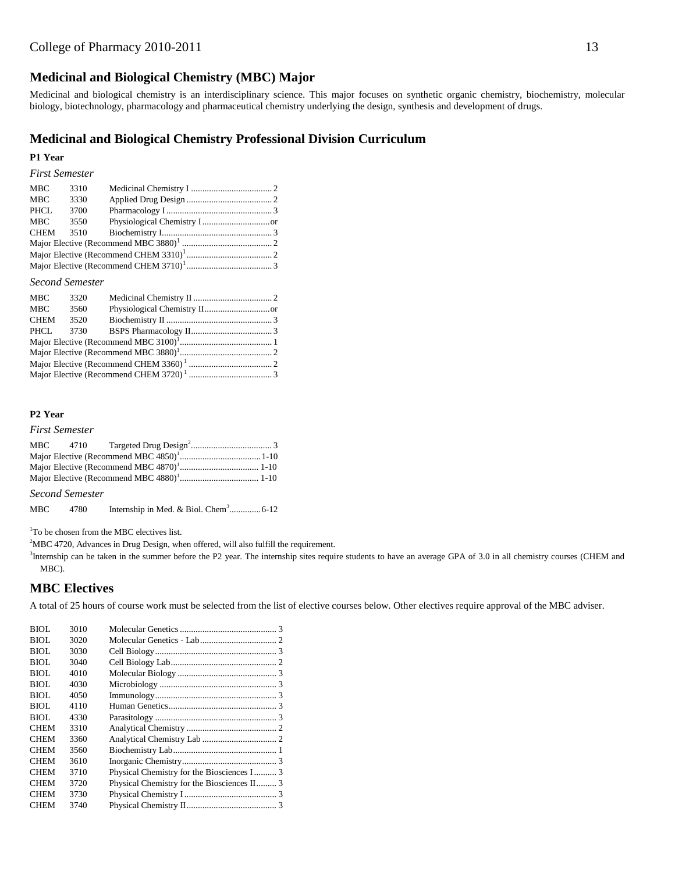# **Medicinal and Biological Chemistry (MBC) Major**

Medicinal and biological chemistry is an interdisciplinary science. This major focuses on synthetic organic chemistry, biochemistry, molecular biology, biotechnology, pharmacology and pharmaceutical chemistry underlying the design, synthesis and development of drugs.

### **Medicinal and Biological Chemistry Professional Division Curriculum**

#### **P1 Year**

#### *First Semester*

| <b>MBC</b>  | 3310 |  |  |  |  |  |
|-------------|------|--|--|--|--|--|
| <b>MBC</b>  | 3330 |  |  |  |  |  |
| <b>PHCL</b> | 3700 |  |  |  |  |  |
| <b>MBC</b>  | 3550 |  |  |  |  |  |
| <b>CHEM</b> | 3510 |  |  |  |  |  |
|             |      |  |  |  |  |  |
|             |      |  |  |  |  |  |
|             |      |  |  |  |  |  |

#### *Second Semester*

| MBC  | 3320 |  |
|------|------|--|
| MBC  | 3560 |  |
| CHEM | 3520 |  |
| PHCL |      |  |
|      |      |  |
|      |      |  |
|      |      |  |
|      |      |  |

### **P2 Year**

#### *First Semester*

*Second Semester*

MBC 4780 Internship in Med. & Biol. Chem<sup>3</sup>................6-12

<sup>1</sup>To be chosen from the MBC electives list.

<sup>2</sup>MBC 4720, Advances in Drug Design, when offered, will also fulfill the requirement.

<sup>3</sup>Internship can be taken in the summer before the P2 year. The internship sites require students to have an average GPA of 3.0 in all chemistry courses (CHEM and MBC).

## **MBC Electives**

A total of 25 hours of course work must be selected from the list of elective courses below. Other electives require approval of the MBC adviser.

| BIOL. | 3010 |                                             |  |
|-------|------|---------------------------------------------|--|
| BIOL. | 3020 |                                             |  |
| BIOL. | 3030 |                                             |  |
| BIOL  | 3040 |                                             |  |
| BIOL. | 4010 |                                             |  |
| BIOL. | 4030 |                                             |  |
| BIOL  | 4050 |                                             |  |
| BIOL. | 4110 |                                             |  |
| BIOL. | 4330 |                                             |  |
| CHEM  | 3310 |                                             |  |
| CHEM  | 3360 |                                             |  |
| CHEM  | 3560 |                                             |  |
| CHEM  | 3610 |                                             |  |
| CHEM  | 3710 | Physical Chemistry for the Biosciences I 3  |  |
| CHEM  | 3720 | Physical Chemistry for the Biosciences II 3 |  |
| CHEM  | 3730 |                                             |  |
| CHEM  | 3740 |                                             |  |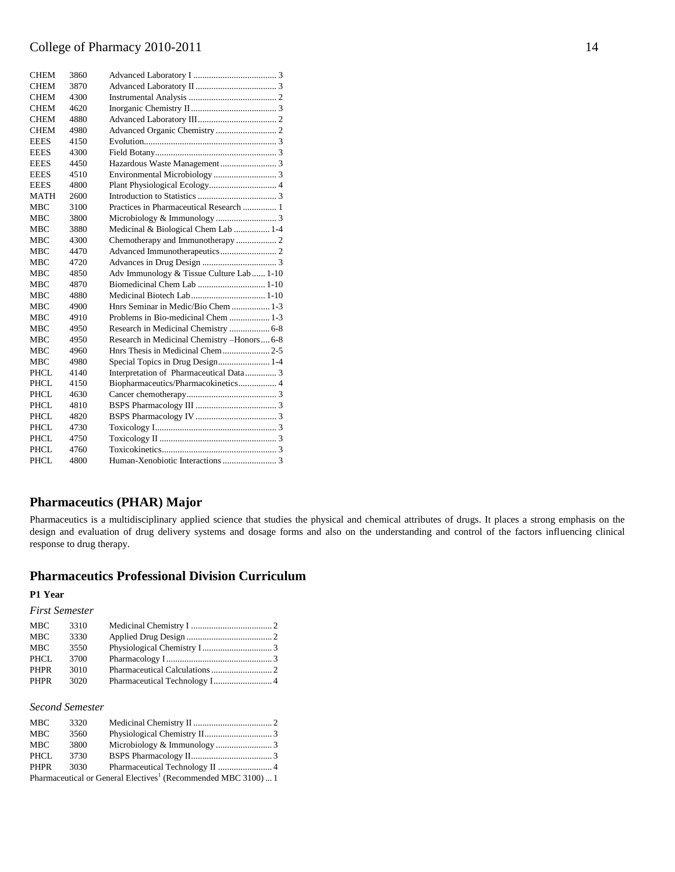| <b>CHEM</b> | 3860 |                                             |
|-------------|------|---------------------------------------------|
| <b>CHEM</b> | 3870 |                                             |
| <b>CHEM</b> | 4300 |                                             |
| <b>CHEM</b> | 4620 |                                             |
| CHEM        | 4880 |                                             |
| <b>CHEM</b> | 4980 |                                             |
| <b>EEES</b> | 4150 |                                             |
| <b>EEES</b> | 4300 |                                             |
| <b>EEES</b> | 4450 |                                             |
| <b>EEES</b> | 4510 |                                             |
| <b>EEES</b> | 4800 |                                             |
| <b>MATH</b> | 2600 |                                             |
| <b>MBC</b>  | 3100 | Practices in Pharmaceutical Research  1     |
| MBC         | 3800 |                                             |
| <b>MBC</b>  | 3880 | Medicinal & Biological Chem Lab  1-4        |
| MBC         | 4300 |                                             |
| MBC         | 4470 |                                             |
| <b>MBC</b>  | 4720 |                                             |
| MBC         | 4850 | Adv Immunology & Tissue Culture Lab  1-10   |
| <b>MBC</b>  | 4870 |                                             |
| <b>MBC</b>  | 4880 |                                             |
| <b>MBC</b>  | 4900 | Hnrs Seminar in Medic/Bio Chem  1-3         |
| <b>MBC</b>  | 4910 | Problems in Bio-medicinal Chem  1-3         |
| <b>MBC</b>  | 4950 | Research in Medicinal Chemistry  6-8        |
| <b>MBC</b>  | 4950 | Research in Medicinal Chemistry -Honors 6-8 |
| <b>MBC</b>  | 4960 |                                             |
| MBC         | 4980 |                                             |
| PHCL        | 4140 | Interpretation of Pharmaceutical Data 3     |
| PHCL        | 4150 | Biopharmaceutics/Pharmacokinetics 4         |
| PHCL        | 4630 |                                             |
| PHCL        | 4810 |                                             |
| <b>PHCL</b> | 4820 |                                             |
| PHCL        | 4730 |                                             |
| PHCL        | 4750 |                                             |
| <b>PHCL</b> | 4760 |                                             |
| PHCL        | 4800 |                                             |

## **Pharmaceutics (PHAR) Major**

Pharmaceutics is a multidisciplinary applied science that studies the physical and chemical attributes of drugs. It places a strong emphasis on the design and evaluation of drug delivery systems and dosage forms and also on the understanding and control of the factors influencing clinical response to drug therapy.

## **Pharmaceutics Professional Division Curriculum**

### **P1 Year**

### *First Semester*

| <b>MBC</b>  | 3310 |  |
|-------------|------|--|
| <b>MBC</b>  | 3330 |  |
| MBC         | 3550 |  |
| PHCL        | 3700 |  |
| <b>PHPR</b> | 3010 |  |
| PHPR        | 3020 |  |

### *Second Semester*

| <b>MBC</b>  | 3320 |                                                                            |  |
|-------------|------|----------------------------------------------------------------------------|--|
| MBC         | 3560 |                                                                            |  |
| MBC         | 3800 |                                                                            |  |
| PHCL        | 3730 |                                                                            |  |
| <b>PHPR</b> | 3030 |                                                                            |  |
|             |      | Pharmaceutical or General Electives <sup>1</sup> (Recommended MBC 3100)  1 |  |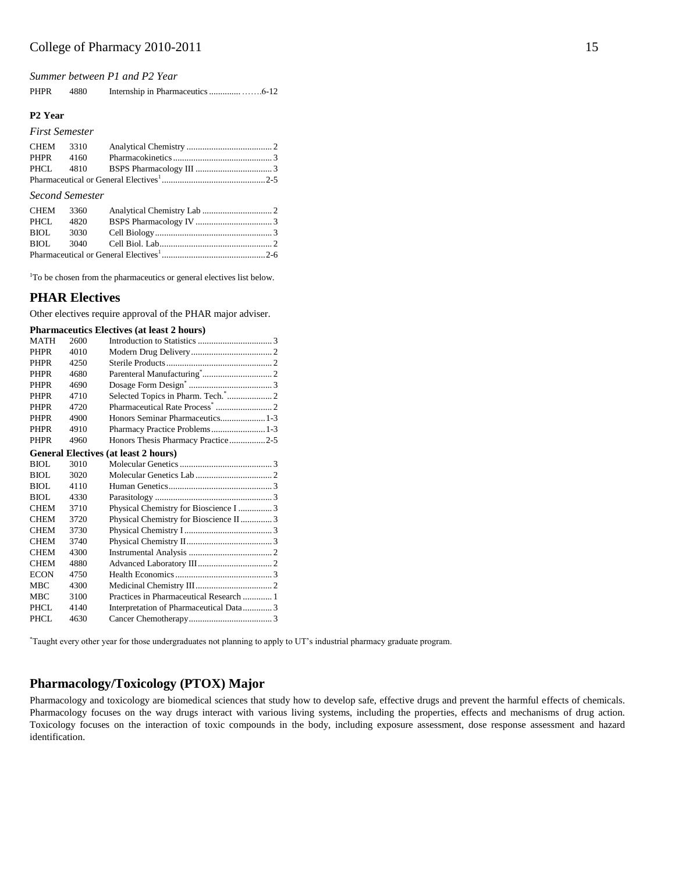*Summer between P1 and P2 Year*

| <b>PHPR</b> | 4880 |  |  |
|-------------|------|--|--|
|-------------|------|--|--|

#### **P2 Year**

#### *First Semester*

| CHEM 3310 |  |  |
|-----------|--|--|
| PHPR 4160 |  |  |
|           |  |  |
|           |  |  |

#### *Second Semester*

| CHEM 3360 |  |
|-----------|--|
| PHCL 4820 |  |
|           |  |
|           |  |
|           |  |

<sup>1</sup>To be chosen from the pharmaceutics or general electives list below.

### **PHAR Electives**

Other electives require approval of the PHAR major adviser.

| <b>Pharmaceutics Electives (at least 2 hours)</b> |  |  |  |
|---------------------------------------------------|--|--|--|
|---------------------------------------------------|--|--|--|

| <b>MATH</b> | 2600 |                                             |
|-------------|------|---------------------------------------------|
| <b>PHPR</b> | 4010 |                                             |
| <b>PHPR</b> | 4250 |                                             |
| <b>PHPR</b> | 4680 |                                             |
| <b>PHPR</b> | 4690 |                                             |
| <b>PHPR</b> | 4710 |                                             |
| <b>PHPR</b> | 4720 |                                             |
| <b>PHPR</b> | 4900 |                                             |
| <b>PHPR</b> | 4910 | Pharmacy Practice Problems 1-3              |
| <b>PHPR</b> | 4960 | Honors Thesis Pharmacy Practice2-5          |
|             |      | <b>General Electives (at least 2 hours)</b> |
| BIOL        | 3010 |                                             |
| BIOL        | 3020 |                                             |
| BIOL        | 4110 |                                             |
| BIOL        | 4330 |                                             |
| <b>CHEM</b> | 3710 | Physical Chemistry for Bioscience I  3      |
| <b>CHEM</b> | 3720 | Physical Chemistry for Bioscience II 3      |
| <b>CHEM</b> | 3730 |                                             |
| <b>CHEM</b> | 3740 |                                             |
| <b>CHEM</b> | 4300 |                                             |
| <b>CHEM</b> | 4880 |                                             |
| <b>ECON</b> | 4750 |                                             |
| <b>MBC</b>  | 4300 |                                             |
| <b>MBC</b>  | 3100 |                                             |
| PHCL.       | 4140 | Interpretation of Pharmaceutical Data3      |
| PHCL        | 4630 |                                             |
|             |      |                                             |

\*Taught every other year for those undergraduates not planning to apply to UT's industrial pharmacy graduate program.

### **Pharmacology/Toxicology (PTOX) Major**

Pharmacology and toxicology are biomedical sciences that study how to develop safe, effective drugs and prevent the harmful effects of chemicals. Pharmacology focuses on the way drugs interact with various living systems, including the properties, effects and mechanisms of drug action. Toxicology focuses on the interaction of toxic compounds in the body, including exposure assessment, dose response assessment and hazard identification.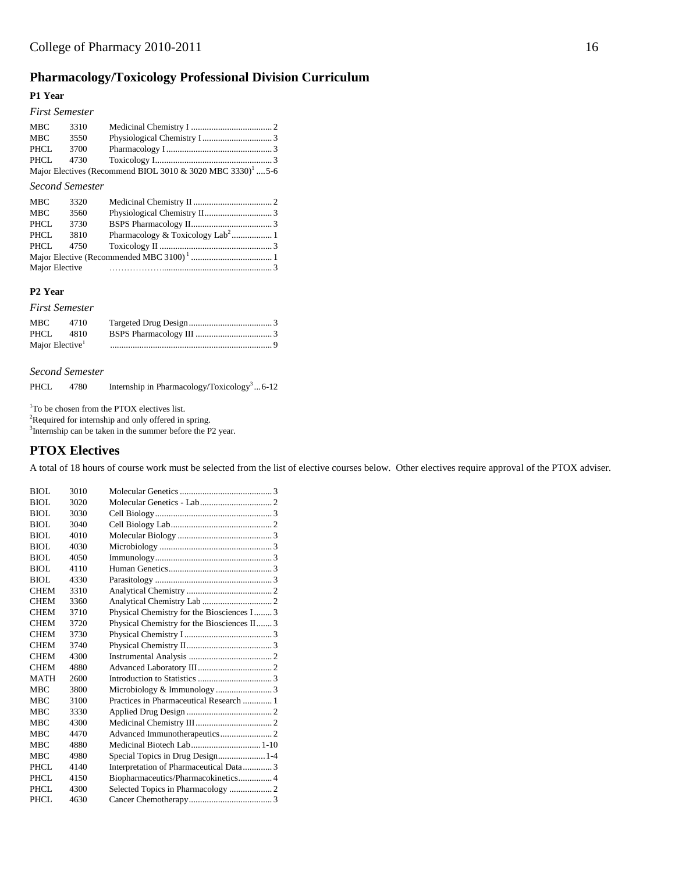# **Pharmacology/Toxicology Professional Division Curriculum**

#### **P1 Year**

### *First Semester*

| MBC   | 3310 |                                                                        |  |
|-------|------|------------------------------------------------------------------------|--|
| MBC   | 3550 |                                                                        |  |
| PHCL. | 3700 |                                                                        |  |
|       |      |                                                                        |  |
|       |      | Major Electives (Recommend BIOL 3010 & 3020 MBC 3330) <sup>1</sup> 5-6 |  |

#### *Second Semester*

### **P2 Year**

#### *First Semester* MBC 4710 Targeted Drug Design..................................... 3 PHCL 4810 BSPS Pharmacology III .................................. 3 Major Elective<sup>1</sup> ........................................................................ 9

#### *Second Semester*

PHCL 4780 Internship in Pharmacology/Toxicology<sup>3</sup>...6-12

<sup>1</sup>To be chosen from the PTOX electives list.

 ${}^{2}\!$  Required for internship and only offered in spring.

<sup>3</sup>Internship can be taken in the summer before the P2 year.

### **PTOX Electives**

A total of 18 hours of course work must be selected from the list of elective courses below. Other electives require approval of the PTOX adviser.

| BIOL        | 3010 |                                             |
|-------------|------|---------------------------------------------|
| BIOL        | 3020 |                                             |
| BIOL        | 3030 |                                             |
| BIOL        | 3040 |                                             |
| BIOL        | 4010 |                                             |
| BIOL        | 4030 |                                             |
| BIOL        | 4050 |                                             |
| BIOL        | 4110 |                                             |
| BIOL        | 4330 |                                             |
| <b>CHEM</b> | 3310 |                                             |
| <b>CHEM</b> | 3360 |                                             |
| <b>CHEM</b> | 3710 | Physical Chemistry for the Biosciences I 3  |
| <b>CHEM</b> | 3720 | Physical Chemistry for the Biosciences II 3 |
| <b>CHEM</b> | 3730 |                                             |
| <b>CHEM</b> | 3740 |                                             |
| <b>CHEM</b> | 4300 |                                             |
| <b>CHEM</b> | 4880 |                                             |
| <b>MATH</b> | 2600 |                                             |
| <b>MBC</b>  | 3800 |                                             |
| <b>MBC</b>  | 3100 | Practices in Pharmaceutical Research  1     |
| <b>MBC</b>  | 3330 |                                             |
| <b>MBC</b>  | 4300 |                                             |
| <b>MBC</b>  | 4470 |                                             |
| <b>MBC</b>  | 4880 | Medicinal Biotech Lab 1-10                  |
| <b>MBC</b>  | 4980 | Special Topics in Drug Design 1-4           |
| PHCL.       | 4140 | Interpretation of Pharmaceutical Data 3     |
| <b>PHCL</b> | 4150 | Biopharmaceutics/Pharmacokinetics 4         |
| PHCL        | 4300 |                                             |
| PHCL        | 4630 |                                             |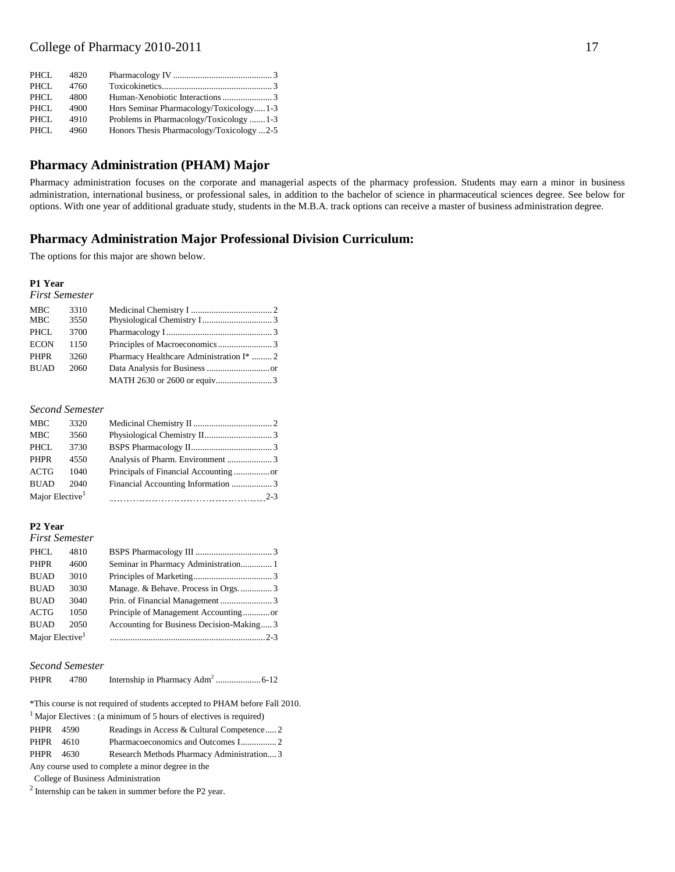| PHCL  | 4820 |                                           |  |
|-------|------|-------------------------------------------|--|
| PHCL  | 4760 |                                           |  |
| PHCL. | 4800 |                                           |  |
| PHCL. | 4900 | Hnrs Seminar Pharmacology/Toxicology1-3   |  |
| PHCL. | 4910 | Problems in Pharmacology/Toxicology 1-3   |  |
| PHCL. | 4960 | Honors Thesis Pharmacology/Toxicology 2-5 |  |
|       |      |                                           |  |

# **Pharmacy Administration (PHAM) Major**

Pharmacy administration focuses on the corporate and managerial aspects of the pharmacy profession. Students may earn a minor in business administration, international business, or professional sales, in addition to the bachelor of science in pharmaceutical sciences degree. See below for options. With one year of additional graduate study, students in the M.B.A. track options can receive a master of business administration degree.

## **Pharmacy Administration Major Professional Division Curriculum:**

The options for this major are shown below.

#### **P1 Year**

*First Semester*

| <b>MBC</b>  | 3310 |                                          |  |
|-------------|------|------------------------------------------|--|
| <b>MBC</b>  | 3550 |                                          |  |
| PHCL        | 3700 |                                          |  |
| <b>ECON</b> | 1150 |                                          |  |
| <b>PHPR</b> | 3260 | Pharmacy Healthcare Administration I*  2 |  |
| <b>BUAD</b> | 2060 |                                          |  |
|             |      |                                          |  |
|             |      |                                          |  |

#### *Second Semester*

| <b>MBC</b>                  | 3320 |  |
|-----------------------------|------|--|
| <b>MBC</b>                  | 3560 |  |
| PHCL                        | 3730 |  |
| PHPR                        | 4550 |  |
| ACTG                        | 1040 |  |
| <b>BUAD</b>                 | 2040 |  |
| Major Elective <sup>1</sup> |      |  |

### **P2 Year**

*First Semester*

| <b>PHCL</b>                 | 4810 |                                           |  |
|-----------------------------|------|-------------------------------------------|--|
| <b>PHPR</b>                 | 4600 |                                           |  |
| <b>BUAD</b>                 | 3010 |                                           |  |
| <b>BUAD</b>                 | 3030 |                                           |  |
| <b>BUAD</b>                 | 3040 |                                           |  |
| <b>ACTG</b>                 | 1050 |                                           |  |
| <b>BUAD</b>                 | 2050 | Accounting for Business Decision-Making 3 |  |
| Major Elective <sup>1</sup> |      |                                           |  |

#### *Second Semester*

| <b>PHPR</b> | 4780 |  |  |  |  |  |  |
|-------------|------|--|--|--|--|--|--|
|-------------|------|--|--|--|--|--|--|

| *This course is not required of students accepted to PHAM before Fall 2010. |                                           |  |  |  |
|-----------------------------------------------------------------------------|-------------------------------------------|--|--|--|
| $1$ Major Electives : (a minimum of 5 hours of electives is required)       |                                           |  |  |  |
| PHPR<br>4590                                                                | Readings in Access & Cultural Competence2 |  |  |  |
| PHPR<br>- 4610                                                              |                                           |  |  |  |
| PHPR<br>4630                                                                | Research Methods Pharmacy Administration3 |  |  |  |
| Any course used to complete a minor degree in the                           |                                           |  |  |  |
| College of Business Administration                                          |                                           |  |  |  |

 $2$  Internship can be taken in summer before the P2 year.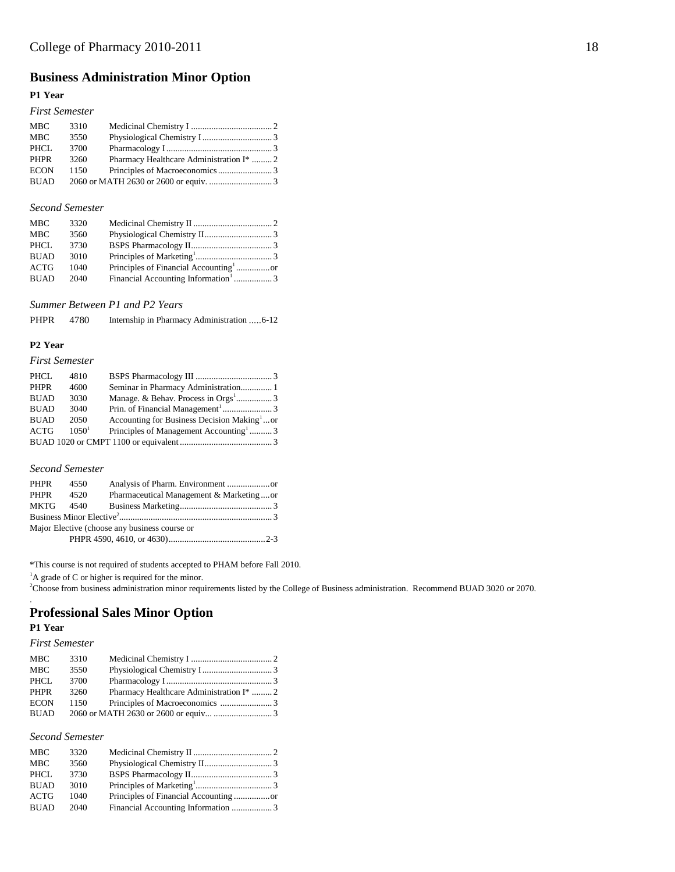# **Business Administration Minor Option**

### **P1 Year**

### *First Semester*

| 3310 |                                          |  |
|------|------------------------------------------|--|
| 3550 |                                          |  |
| 3700 |                                          |  |
| 3260 | Pharmacy Healthcare Administration I*  2 |  |
| 1150 |                                          |  |
|      |                                          |  |
|      |                                          |  |

### *Second Semester*

| <b>MBC</b>  | 3320 |                                                 |  |
|-------------|------|-------------------------------------------------|--|
| <b>MBC</b>  | 3560 |                                                 |  |
| PHCL.       | 3730 |                                                 |  |
| <b>BUAD</b> | 3010 |                                                 |  |
| ACTG        | 1040 |                                                 |  |
| <b>BUAD</b> | 2040 | Financial Accounting Information <sup>1</sup> 3 |  |

*Summer Between P1 and P2 Years*

| <b>PHPR</b> | 4780 |  |  |
|-------------|------|--|--|
|-------------|------|--|--|

## **P2 Year**

#### *First Semester*

| PHCL        | 4810     |                                                         |  |
|-------------|----------|---------------------------------------------------------|--|
| <b>PHPR</b> | 4600     | Seminar in Pharmacy Administration 1                    |  |
| <b>BUAD</b> | 3030     |                                                         |  |
| <b>BUAD</b> | 3040     |                                                         |  |
| <b>BUAD</b> | 2050     | Accounting for Business Decision Making <sup>1</sup> or |  |
| <b>ACTG</b> | $1050^1$ | Principles of Management Accounting <sup>1</sup> 3      |  |
|             |          |                                                         |  |

#### *Second Semester*

| PHPR 4550 |      |                                               |  |
|-----------|------|-----------------------------------------------|--|
| PHPR      | 4520 | Pharmaceutical Management & Marketingor       |  |
|           |      |                                               |  |
|           |      |                                               |  |
|           |      | Major Elective (choose any business course or |  |
|           |      |                                               |  |
|           |      |                                               |  |

\*This course is not required of students accepted to PHAM before Fall 2010.

<sup>1</sup>A grade of C or higher is required for the minor.

<sup>2</sup>Choose from business administration minor requirements listed by the College of Business administration. Recommend BUAD 3020 or 2070.

# **Professional Sales Minor Option**

### **P1 Year**

.

### *First Semester*

| 3310 |                                          |  |
|------|------------------------------------------|--|
| 3550 |                                          |  |
| 3700 |                                          |  |
| 3260 | Pharmacy Healthcare Administration I*  2 |  |
| 1150 |                                          |  |
|      |                                          |  |
|      |                                          |  |

#### *Second Semester*

| <b>MBC</b>  | 3320 |  |
|-------------|------|--|
| <b>MBC</b>  | 3560 |  |
| PHCL        | 3730 |  |
| <b>BUAD</b> | 3010 |  |
| <b>ACTG</b> | 1040 |  |
| <b>BUAD</b> | 2040 |  |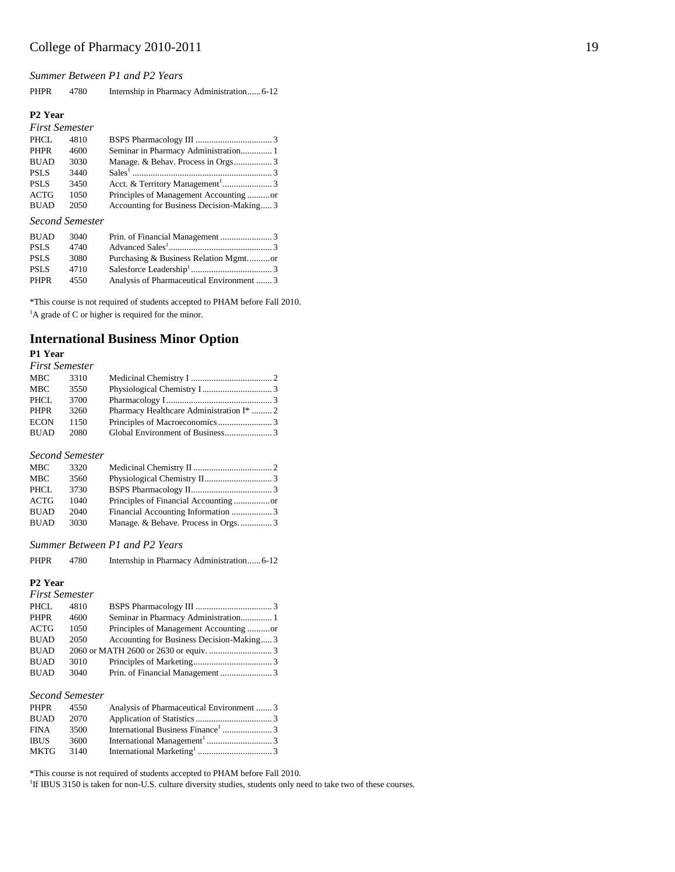*Summer Between P1 and P2 Years*

|  | PHPR | 4780 |  |  |
|--|------|------|--|--|
|--|------|------|--|--|

#### **P2 Year**

| <b>First Semester</b> |      |                                           |  |
|-----------------------|------|-------------------------------------------|--|
| PHCL                  | 4810 |                                           |  |
| <b>PHPR</b>           | 4600 | Seminar in Pharmacy Administration 1      |  |
| <b>BUAD</b>           | 3030 |                                           |  |
| <b>PSLS</b>           | 3440 |                                           |  |
| <b>PSLS</b>           | 3450 |                                           |  |
| <b>ACTG</b>           | 1050 | Principles of Management Accounting or    |  |
| <b>BUAD</b>           | 2050 | Accounting for Business Decision-Making 3 |  |
|                       |      |                                           |  |

### *Second Semester*

| <b>BUAD</b> | 3040 |                                           |
|-------------|------|-------------------------------------------|
| <b>PSLS</b> | 4740 |                                           |
| <b>PSLS</b> | 3080 |                                           |
| <b>PSLS</b> | 4710 |                                           |
| PHPR        | 4550 | Analysis of Pharmaceutical Environment  3 |

\*This course is not required of students accepted to PHAM before Fall 2010.  ${}^{1}$ A grade of C or higher is required for the minor.

### **International Business Minor Option**

### **P1 Year**

| <b>First Semester</b> |      |                                          |  |
|-----------------------|------|------------------------------------------|--|
| MBC                   | 3310 |                                          |  |
| MBC                   | 3550 |                                          |  |
| PHCL                  | 3700 |                                          |  |
| <b>PHPR</b>           | 3260 | Pharmacy Healthcare Administration I*  2 |  |
| <b>ECON</b>           | 1150 |                                          |  |
| <b>BUAD</b>           | 2080 |                                          |  |

### *Second Semester*

| <b>MBC</b>  | 3320 |  |
|-------------|------|--|
| MBC         | 3560 |  |
| PHCL        | 3730 |  |
| ACTG        | 1040 |  |
| <b>BUAD</b> | 2040 |  |
| BUAD        | 3030 |  |

### *Summer Between P1 and P2 Years*

#### PHPR 4780 Internship in Pharmacy Administration...... 6-12

#### **P2 Year**

| <b>First Semester</b> |      |                                           |  |
|-----------------------|------|-------------------------------------------|--|
| PHCL                  | 4810 |                                           |  |
| PHPR                  | 4600 | Seminar in Pharmacy Administration 1      |  |
| ACTG                  | 1050 | Principles of Management Accounting or    |  |
| <b>BUAD</b>           | 2050 | Accounting for Business Decision-Making 3 |  |
| <b>BUAD</b>           |      |                                           |  |
| <b>BUAD</b>           | 3010 |                                           |  |
| <b>BUAD</b>           | 3040 |                                           |  |

### *Second Semester*

| <b>PHPR</b> | 4550 | Analysis of Pharmaceutical Environment  3 |  |
|-------------|------|-------------------------------------------|--|
| <b>BUAD</b> | 2070 |                                           |  |
| <b>FINA</b> | 3500 |                                           |  |
| <b>IBUS</b> | 3600 |                                           |  |
| <b>MKTG</b> | 3140 |                                           |  |

\*This course is not required of students accepted to PHAM before Fall 2010.

<sup>1</sup>If IBUS 3150 is taken for non-U.S. culture diversity studies, students only need to take two of these courses.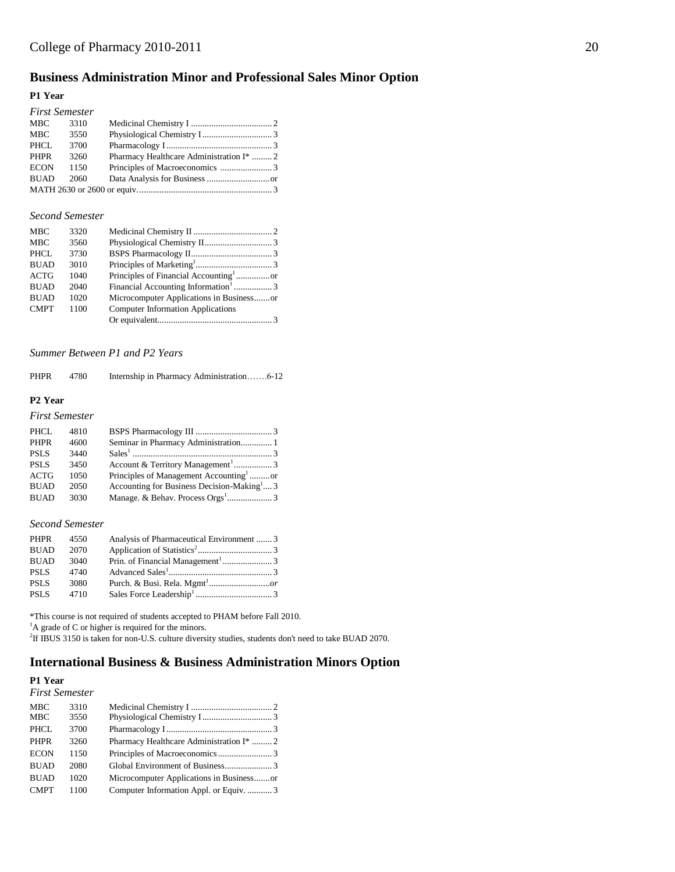# **Business Administration Minor and Professional Sales Minor Option**

#### **P1 Year**

| Pharmacy Healthcare Administration I*  2 |
|------------------------------------------|

#### *Second Semester*

| <b>MBC</b>  | 3320 |                                                 |  |
|-------------|------|-------------------------------------------------|--|
| <b>MBC</b>  | 3560 |                                                 |  |
| PHCL        | 3730 |                                                 |  |
| <b>BUAD</b> | 3010 |                                                 |  |
| <b>ACTG</b> | 1040 |                                                 |  |
| <b>BUAD</b> | 2040 | Financial Accounting Information <sup>1</sup> 3 |  |
| <b>BUAD</b> | 1020 | Microcomputer Applications in Businessor        |  |
| <b>CMPT</b> | 1100 | <b>Computer Information Applications</b>        |  |
|             |      |                                                 |  |

### *Summer Between P1 and P2 Years*

| <b>PHPR</b> | 4780 |  |  |
|-------------|------|--|--|
|-------------|------|--|--|

### **P2 Year**

#### *First Semester*

| PHCL        | 4810 |                                                        |
|-------------|------|--------------------------------------------------------|
| <b>PHPR</b> | 4600 | Seminar in Pharmacy Administration 1                   |
| <b>PSLS</b> | 3440 |                                                        |
| <b>PSLS</b> | 3450 | Account & Territory Management <sup>1</sup> 3          |
| <b>ACTG</b> | 1050 | Principles of Management Accounting <sup>1</sup> or    |
| <b>BUAD</b> | 2050 | Accounting for Business Decision-Making <sup>1</sup> 3 |
| <b>BUAD</b> | 3030 |                                                        |

#### *Second Semester*

| PHPR        | 4550 | Analysis of Pharmaceutical Environment  3 |  |
|-------------|------|-------------------------------------------|--|
| <b>BUAD</b> | 2070 |                                           |  |
| <b>BUAD</b> | 3040 |                                           |  |
| PSLS        | 4740 |                                           |  |
| <b>PSLS</b> | 3080 |                                           |  |
| <b>PSLS</b> | 4710 |                                           |  |

\*This course is not required of students accepted to PHAM before Fall 2010.

<sup>1</sup>A grade of C or higher is required for the minors.

2 If IBUS 3150 is taken for non-U.S. culture diversity studies, students don't need to take BUAD 2070.

# **International Business & Business Administration Minors Option**

# **P1 Year**

| <b>First Semester</b> |
|-----------------------|
|                       |

| <b>MBC</b>  | 3310 |                                          |  |
|-------------|------|------------------------------------------|--|
| <b>MBC</b>  | 3550 |                                          |  |
| <b>PHCL</b> | 3700 |                                          |  |
| <b>PHPR</b> | 3260 | Pharmacy Healthcare Administration I*  2 |  |
| <b>ECON</b> | 1150 |                                          |  |
| <b>BUAD</b> | 2080 |                                          |  |
| <b>BUAD</b> | 1020 | Microcomputer Applications in Businessor |  |
| <b>CMPT</b> | 1100 | Computer Information Appl. or Equiv.  3  |  |
|             |      |                                          |  |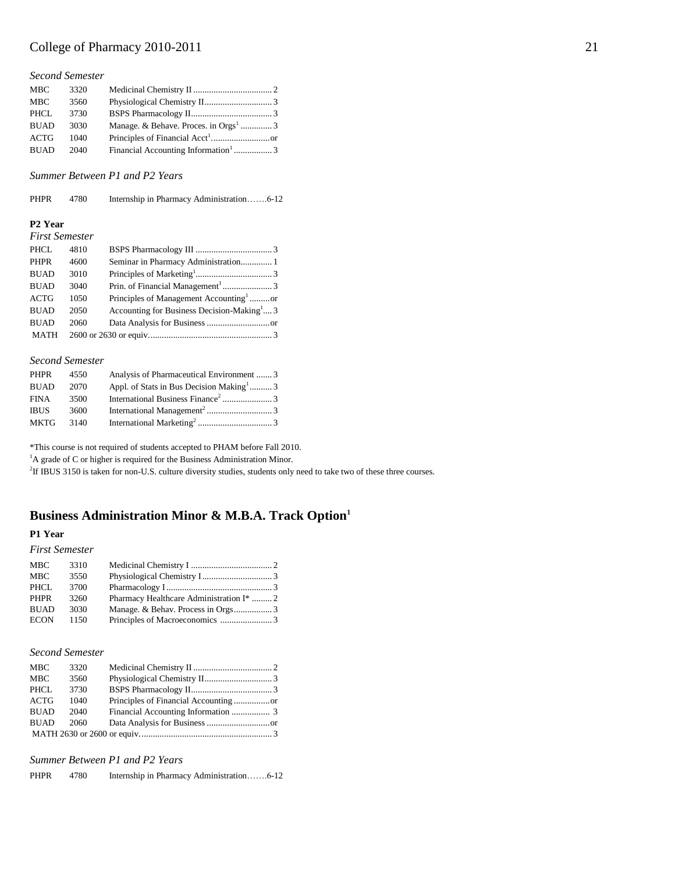#### *Second Semester*

| Manage. & Behave. Proces. in Orgs <sup>1</sup> 3 |
|--------------------------------------------------|
|                                                  |
| Financial Accounting Information <sup>1</sup> 3  |
|                                                  |

*Summer Between P1 and P2 Years*

| <b>PHPR</b> | 4780 | Internship in Pharmacy Administration6-12 |  |
|-------------|------|-------------------------------------------|--|
|-------------|------|-------------------------------------------|--|

#### **P2 Year**

| <b>First Semester</b> |      |                                                        |
|-----------------------|------|--------------------------------------------------------|
| PHCL                  | 4810 |                                                        |
| <b>PHPR</b>           | 4600 |                                                        |
| <b>BUAD</b>           | 3010 |                                                        |
| <b>BUAD</b>           | 3040 |                                                        |
| <b>ACTG</b>           | 1050 | Principles of Management Accounting <sup>1</sup> or    |
| <b>BUAD</b>           | 2050 | Accounting for Business Decision-Making <sup>1</sup> 3 |
| <b>BUAD</b>           | 2060 |                                                        |
| <b>MATH</b>           |      |                                                        |

#### *Second Semester*

| PHPR        | 4550 | Analysis of Pharmaceutical Environment  3            |  |
|-------------|------|------------------------------------------------------|--|
| <b>BUAD</b> | 2070 | Appl. of Stats in Bus Decision Making <sup>1</sup> 3 |  |
| <b>FINA</b> | 3500 |                                                      |  |
| <b>IBUS</b> | 3600 |                                                      |  |
| <b>MKTG</b> | 3140 |                                                      |  |

\*This course is not required of students accepted to PHAM before Fall 2010.

<sup>1</sup>A grade of C or higher is required for the Business Administration Minor.

2 If IBUS 3150 is taken for non-U.S. culture diversity studies, students only need to take two of these three courses.

## **Business Administration Minor & M.B.A. Track Option<sup>1</sup>**

### **P1 Year**

#### *First Semester*

| MBC         | 3310 |                                                     |  |
|-------------|------|-----------------------------------------------------|--|
| <b>MBC</b>  | 3550 |                                                     |  |
| PHCL        | 3700 |                                                     |  |
| <b>PHPR</b> | 3260 | Pharmacy Healthcare Administration I <sup>*</sup> 2 |  |
| <b>BUAD</b> | 3030 |                                                     |  |
| <b>ECON</b> | 1150 |                                                     |  |
|             |      |                                                     |  |

#### *Second Semester*

| <b>MBC</b>  | 3320 |  |
|-------------|------|--|
| <b>MBC</b>  | 3560 |  |
| PHCL        | 3730 |  |
| ACTG        | 1040 |  |
| <b>BUAD</b> | 2040 |  |
| <b>BUAD</b> | 2060 |  |
|             |      |  |

*Summer Between P1 and P2 Years*

PHPR 4780 Internship in Pharmacy Administration…….6-12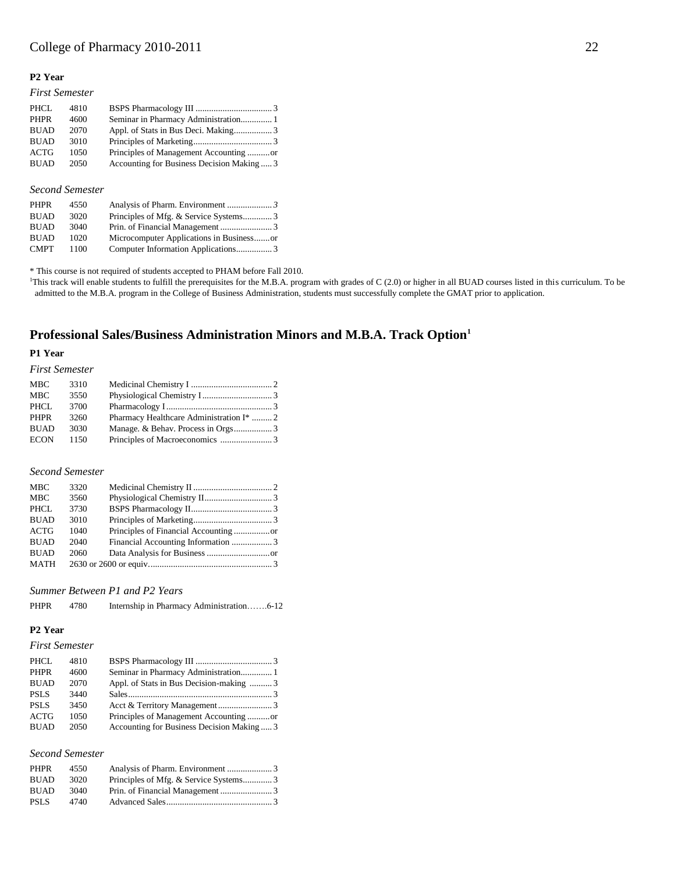#### **P2 Year**

| <b>First Semester</b> |      |                                          |  |
|-----------------------|------|------------------------------------------|--|
| PHCL.                 | 4810 |                                          |  |
| <b>PHPR</b>           | 4600 | Seminar in Pharmacy Administration 1     |  |
| <b>BUAD</b>           | 2070 |                                          |  |
| <b>BUAD</b>           | 3010 |                                          |  |
| <b>ACTG</b>           | 1050 | Principles of Management Accounting or   |  |
| <b>BUAD</b>           | 2050 | Accounting for Business Decision Making3 |  |
|                       |      |                                          |  |

#### *Second Semester*

| <b>PHPR</b> | 4550 |                                          |  |
|-------------|------|------------------------------------------|--|
| <b>BUAD</b> | 3020 |                                          |  |
| <b>BUAD</b> | 3040 |                                          |  |
| <b>BUAD</b> | 1020 | Microcomputer Applications in Businessor |  |
| <b>CMPT</b> | 1100 |                                          |  |

\* This course is not required of students accepted to PHAM before Fall 2010.

<sup>1</sup>This track will enable students to fulfill the prerequisites for the M.B.A. program with grades of C (2.0) or higher in all BUAD courses listed in this curriculum. To be admitted to the M.B.A. program in the College of Business Administration, students must successfully complete the GMAT prior to application.

# **Professional Sales/Business Administration Minors and M.B.A. Track Option<sup>1</sup>**

### **P1 Year**

### *First Semester*

| <b>MBC</b>  | 3310 |                                                     |  |
|-------------|------|-----------------------------------------------------|--|
| MBC         | 3550 |                                                     |  |
| PHCL        | 3700 |                                                     |  |
| <b>PHPR</b> | 3260 | Pharmacy Healthcare Administration I <sup>*</sup> 2 |  |
| <b>BUAD</b> | 3030 |                                                     |  |
| <b>ECON</b> | 1150 |                                                     |  |

#### *Second Semester*

| <b>MBC</b>  | 3320 |  |
|-------------|------|--|
| <b>MBC</b>  | 3560 |  |
| <b>PHCL</b> | 3730 |  |
| <b>BUAD</b> | 3010 |  |
| <b>ACTG</b> | 1040 |  |
| <b>BUAD</b> | 2040 |  |
| <b>BUAD</b> | 2060 |  |
| MATH        |      |  |
|             |      |  |

#### *Summer Between P1 and P2 Years*

| Internship in Pharmacy Administration6-12 |
|-------------------------------------------|
|                                           |

### **P2 Year**

### *First Semester*

| PHCL        | 4810 |                                          |  |
|-------------|------|------------------------------------------|--|
| <b>PHPR</b> | 4600 |                                          |  |
| <b>BUAD</b> | 2070 | Appl. of Stats in Bus Decision-making  3 |  |
| <b>PSLS</b> | 3440 |                                          |  |
| <b>PSLS</b> | 3450 |                                          |  |
| ACTG        | 1050 | Principles of Management Accounting or   |  |
| <b>BUAD</b> | 2050 | Accounting for Business Decision Making3 |  |
|             |      |                                          |  |

## *Second Semester*

| PHPR        | 4550 |                                       |  |
|-------------|------|---------------------------------------|--|
| <b>BUAD</b> | 3020 | Principles of Mfg. & Service Systems3 |  |
| <b>BUAD</b> | 3040 |                                       |  |
| PSL S       | 4740 |                                       |  |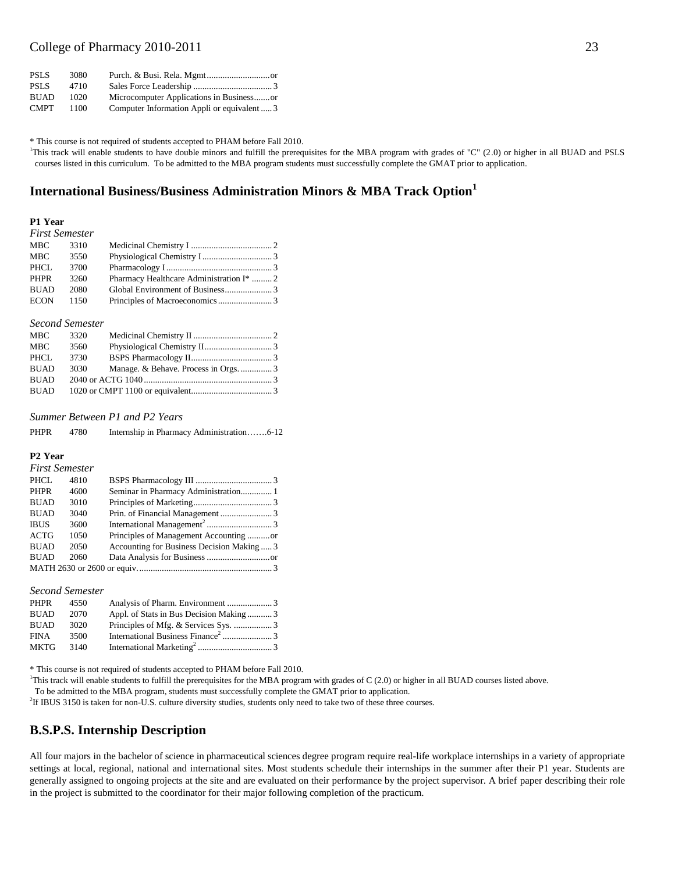| <b>PSLS</b> | 3080  |                                             |
|-------------|-------|---------------------------------------------|
| <b>PSLS</b> | 4710  |                                             |
| <b>BUAD</b> | 1020. | Microcomputer Applications in Businessor    |
| <b>CMPT</b> | 1100  | Computer Information Appli or equivalent  3 |

\* This course is not required of students accepted to PHAM before Fall 2010.

<sup>1</sup>This track will enable students to have double minors and fulfill the prerequisites for the MBA program with grades of "C" (2.0) or higher in all BUAD and PSLS courses listed in this curriculum. To be admitted to the MBA program students must successfully complete the GMAT prior to application.

### **International Business/Business Administration Minors & MBA Track Option<sup>1</sup>**

#### **P1 Year** *First Semester*

| r irst semester                                          |  |
|----------------------------------------------------------|--|
| MBC<br>3310                                              |  |
| MBC<br>3550                                              |  |
| PHCL<br>3700                                             |  |
| Pharmacy Healthcare Administration I*  2<br>PHPR<br>3260 |  |
| <b>BUAD</b><br>2080                                      |  |
| ECON<br>- 1150                                           |  |

#### *Second Semester*

| MBC         | 3320 |                                    |  |
|-------------|------|------------------------------------|--|
| <b>MBC</b>  | 3560 |                                    |  |
| PHCL.       | 3730 |                                    |  |
| <b>BUAD</b> | 3030 | Manage. & Behave. Process in Orgs3 |  |
| <b>BUAD</b> |      |                                    |  |
| BUAD        |      |                                    |  |

#### *Summer Between P1 and P2 Years*

PHPR 4780 Internship in Pharmacy Administration…….6-12

#### **P2 Year**

#### *First Semester* PHCL 4810 BSPS Pharmacology III .................................. 3 PHPR 4600 Seminar in Pharmacy Administration.............. 1 BUAD 3010 Principles of Marketing................................... 3 BUAD 3040 Prin. of Financial Management ....................... 3 IBUS 3600 International Management<sup>2</sup> ............................. 3 ACTG 1050 Principles of Management Accounting ..........or BUAD 2050 Accounting for Business Decision Making ..... 3 BUAD 2060 Data Analysis for Business ............................or MATH 2630 or 2600 or equiv............................................................ 3

#### *Second Semester*

| <b>PHPR</b> | 4550 |                                        |  |
|-------------|------|----------------------------------------|--|
| <b>BUAD</b> | 2070 | Appl. of Stats in Bus Decision Making3 |  |
| <b>BUAD</b> | 3020 |                                        |  |
| <b>FINA</b> | 3500 |                                        |  |
| <b>MKTG</b> | 3140 |                                        |  |

\* This course is not required of students accepted to PHAM before Fall 2010.

<sup>1</sup>This track will enable students to fulfill the prerequisites for the MBA program with grades of C  $(2.0)$  or higher in all BUAD courses listed above.

To be admitted to the MBA program, students must successfully complete the GMAT prior to application.

2 If IBUS 3150 is taken for non-U.S. culture diversity studies, students only need to take two of these three courses.

### **B.S.P.S. Internship Description**

All four majors in the bachelor of science in pharmaceutical sciences degree program require real-life workplace internships in a variety of appropriate settings at local, regional, national and international sites. Most students schedule their internships in the summer after their P1 year. Students are generally assigned to ongoing projects at the site and are evaluated on their performance by the project supervisor. A brief paper describing their role in the project is submitted to the coordinator for their major following completion of the practicum.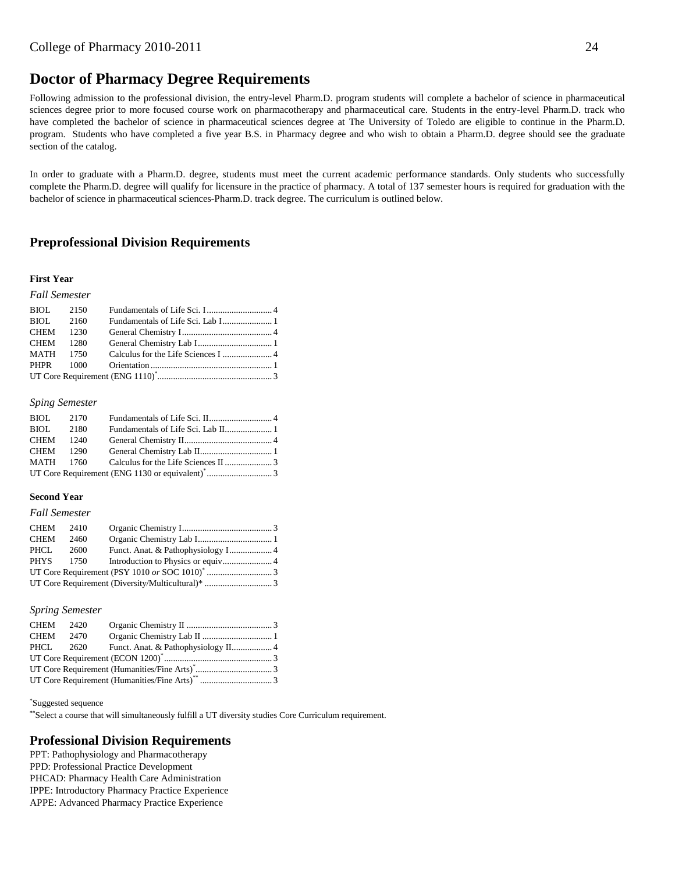# **Doctor of Pharmacy Degree Requirements**

Following admission to the professional division, the entry-level Pharm.D. program students will complete a bachelor of science in pharmaceutical sciences degree prior to more focused course work on pharmacotherapy and pharmaceutical care. Students in the entry-level Pharm.D. track who have completed the bachelor of science in pharmaceutical sciences degree at The University of Toledo are eligible to continue in the Pharm.D. program. Students who have completed a five year B.S. in Pharmacy degree and who wish to obtain a Pharm.D. degree should see the graduate section of the catalog.

In order to graduate with a Pharm.D. degree, students must meet the current academic performance standards. Only students who successfully complete the Pharm.D. degree will qualify for licensure in the practice of pharmacy. A total of 137 semester hours is required for graduation with the bachelor of science in pharmaceutical sciences-Pharm.D. track degree. The curriculum is outlined below.

## **Preprofessional Division Requirements**

#### **First Year**

#### *Fall Semester*

| BIOL 2150 |  |  |
|-----------|--|--|
| BIOL 2160 |  |  |
| CHEM 1230 |  |  |
| CHEM 1280 |  |  |
|           |  |  |
|           |  |  |
|           |  |  |

#### *Sping Semester*

| BIOL 2170 |  |  |
|-----------|--|--|
| BIOL 2180 |  |  |
| CHEM 1240 |  |  |
|           |  |  |
|           |  |  |
|           |  |  |

#### **Second Year**

#### *Fall Semester*

| CHEM | 2410      |  |
|------|-----------|--|
| CHEM | 2460      |  |
| PHCL | 2600      |  |
|      | PHYS 1750 |  |
|      |           |  |
|      |           |  |
|      |           |  |

#### *Spring Semester*

| CHEM 2420 |  |  |
|-----------|--|--|
| CHEM 2470 |  |  |
|           |  |  |
|           |  |  |
|           |  |  |
|           |  |  |

#### \* Suggested sequence

**\*\***Select a course that will simultaneously fulfill a UT diversity studies Core Curriculum requirement.

### **Professional Division Requirements**

PPT: Pathophysiology and Pharmacotherapy PPD: Professional Practice Development PHCAD: Pharmacy Health Care Administration IPPE: Introductory Pharmacy Practice Experience APPE: Advanced Pharmacy Practice Experience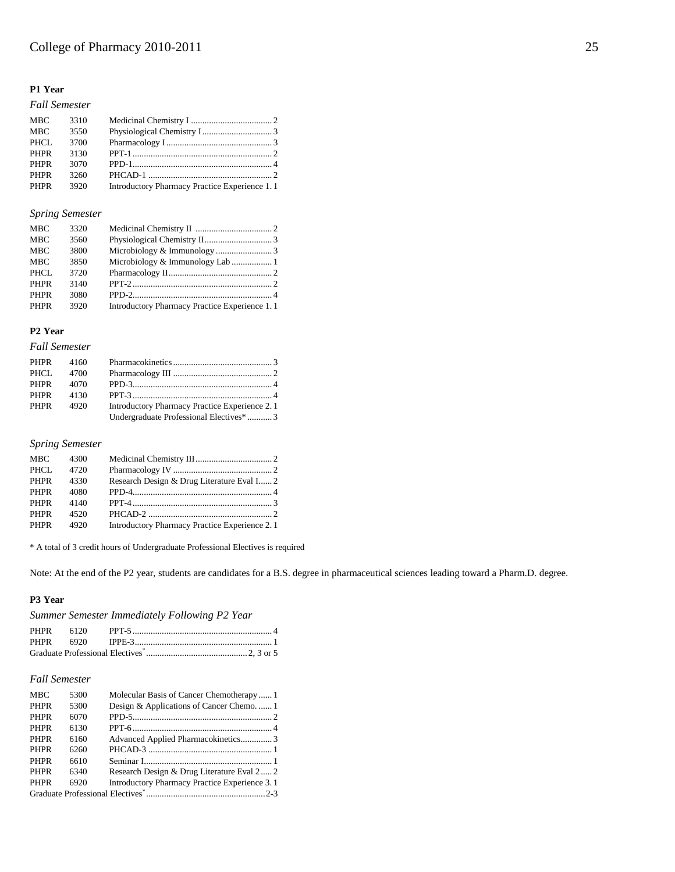### **P1 Year**

#### *Fall Semester* MBC 3310 Medicinal Chemistry I .................................... 2 MBC 3550 Physiological Chemistry I............................... 3 PHCL 3700 Pharmacology I............................................... 3 PHPR 3130 PPT-1 .............................................................. 2 PHPR 3070 PPD-1.............................................................. 4 PHPR 3260 PHCAD-1 ....................................................... 2 PHPR 3920 Introductory Pharmacy Practice Experience 1.1

#### *Spring Semester*

| <b>MBC</b>  | 3320 |                                               |  |
|-------------|------|-----------------------------------------------|--|
| <b>MBC</b>  | 3560 |                                               |  |
| <b>MBC</b>  | 3800 |                                               |  |
| MBC         | 3850 | Microbiology & Immunology Lab  1              |  |
| PHCL        | 3720 |                                               |  |
| <b>PHPR</b> | 3140 |                                               |  |
| <b>PHPR</b> | 3080 |                                               |  |
| <b>PHPR</b> | 3920 | Introductory Pharmacy Practice Experience 1.1 |  |

### **P2 Year**

| <b>Fall Semester</b> |      |                                               |
|----------------------|------|-----------------------------------------------|
| PHPR                 | 4160 |                                               |
| PHCL.                | 4700 |                                               |
| <b>PHPR</b>          | 4070 |                                               |
| <b>PHPR</b>          | 4130 | $PPT-3$ 4                                     |
| PHPR                 | 4920 | Introductory Pharmacy Practice Experience 2.1 |
|                      |      | Undergraduate Professional Electives*3        |

### *Spring Semester*

| <b>MBC</b>  | 4300 |                                               |  |
|-------------|------|-----------------------------------------------|--|
| PHCL        | 4720 |                                               |  |
| <b>PHPR</b> | 4330 | Research Design & Drug Literature Eval I 2    |  |
| <b>PHPR</b> | 4080 |                                               |  |
| <b>PHPR</b> | 4140 |                                               |  |
| <b>PHPR</b> | 4520 |                                               |  |
| PHPR        | 4920 | Introductory Pharmacy Practice Experience 2.1 |  |
|             |      |                                               |  |

\* A total of 3 credit hours of Undergraduate Professional Electives is required

Note: At the end of the P2 year, students are candidates for a B.S. degree in pharmaceutical sciences leading toward a Pharm.D. degree.

#### **P3 Year**

*Summer Semester Immediately Following P2 Year*

### *Fall Semester*

| <b>MBC</b>  | 5300 | Molecular Basis of Cancer Chemotherapy  1     |  |
|-------------|------|-----------------------------------------------|--|
| <b>PHPR</b> | 5300 | Design & Applications of Cancer Chemo1        |  |
| <b>PHPR</b> | 6070 |                                               |  |
| <b>PHPR</b> | 6130 |                                               |  |
| <b>PHPR</b> | 6160 | Advanced Applied Pharmacokinetics 3           |  |
| <b>PHPR</b> | 6260 |                                               |  |
| <b>PHPR</b> | 6610 |                                               |  |
| <b>PHPR</b> | 6340 | Research Design & Drug Literature Eval 2 2    |  |
| <b>PHPR</b> | 6920 | Introductory Pharmacy Practice Experience 3.1 |  |
|             |      |                                               |  |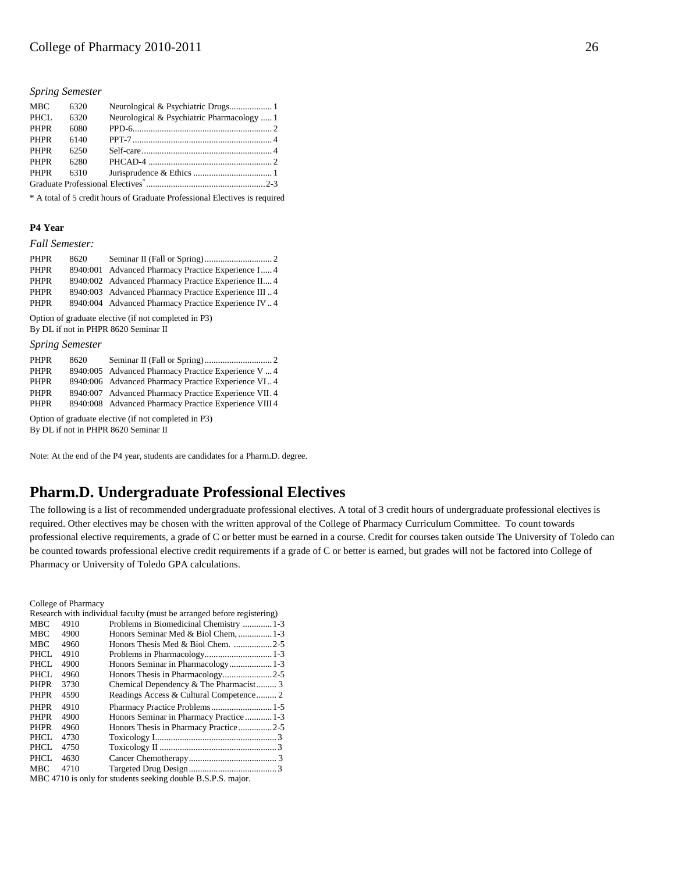#### *Spring Semester*

| <b>MBC</b>  | 6320 |                                            |  |
|-------------|------|--------------------------------------------|--|
| PHCL        | 6320 | Neurological & Psychiatric Pharmacology  1 |  |
| <b>PHPR</b> | 6080 |                                            |  |
| <b>PHPR</b> | 6140 |                                            |  |
| <b>PHPR</b> | 6250 |                                            |  |
| <b>PHPR</b> | 6280 |                                            |  |
| <b>PHPR</b> | 6310 |                                            |  |
|             |      |                                            |  |

\* A total of 5 credit hours of Graduate Professional Electives is required

#### **P4 Year**

### *Fall Semester:*

| PHPR        | 8620 |                                                     |  |
|-------------|------|-----------------------------------------------------|--|
| <b>PHPR</b> |      | 8940:001 Advanced Pharmacy Practice Experience I 4  |  |
| <b>PHPR</b> |      | 8940:002 Advanced Pharmacy Practice Experience II4  |  |
| <b>PHPR</b> |      | 8940:003 Advanced Pharmacy Practice Experience III4 |  |
| <b>PHPR</b> |      | 8940:004 Advanced Pharmacy Practice Experience IV4  |  |

Option of graduate elective (if not completed in P3) By DL if not in PHPR 8620 Seminar II

#### *Spring Semester*

| <b>PHPR</b> | 8620 |                                                       |
|-------------|------|-------------------------------------------------------|
| <b>PHPR</b> |      | 8940:005 Advanced Pharmacy Practice Experience V4     |
| <b>PHPR</b> |      | 8940:006 Advanced Pharmacy Practice Experience VI4    |
| <b>PHPR</b> |      | 8940:007 Advanced Pharmacy Practice Experience VII.4  |
| <b>PHPR</b> |      | 8940:008 Advanced Pharmacy Practice Experience VIII 4 |
|             |      |                                                       |

Option of graduate elective (if not completed in P3) By DL if not in PHPR 8620 Seminar II

Note: At the end of the P4 year, students are candidates for a Pharm.D. degree.

# **Pharm.D. Undergraduate Professional Electives**

The following is a list of recommended undergraduate professional electives. A total of 3 credit hours of undergraduate professional electives is required. Other electives may be chosen with the written approval of the College of Pharmacy Curriculum Committee.To count towards professional elective requirements, a grade of C or better must be earned in a course. Credit for courses taken outside The University of Toledo can be counted towards professional elective credit requirements if a grade of C or better is earned, but grades will not be factored into College of Pharmacy or University of Toledo GPA calculations.

College of Pharmacy

| Research with individual faculty (must be arranged before registering) |      |                                                              |  |
|------------------------------------------------------------------------|------|--------------------------------------------------------------|--|
| <b>MBC</b>                                                             | 4910 | Problems in Biomedicinal Chemistry 1-3                       |  |
| <b>MBC</b>                                                             | 4900 | Honors Seminar Med & Biol Chem,  1-3                         |  |
| <b>MBC</b>                                                             | 4960 | Honors Thesis Med & Biol Chem. 2-5                           |  |
| PHCL                                                                   | 4910 |                                                              |  |
| <b>PHCL</b>                                                            | 4900 | Honors Seminar in Pharmacology 1-3                           |  |
| PHCL                                                                   | 4960 |                                                              |  |
| <b>PHPR</b>                                                            | 3730 | Chemical Dependency & The Pharmacist 3                       |  |
| PHPR                                                                   | 4590 | Readings Access & Cultural Competence 2                      |  |
| <b>PHPR</b>                                                            | 4910 | Pharmacy Practice Problems 1-5                               |  |
| <b>PHPR</b>                                                            | 4900 | Honors Seminar in Pharmacy Practice  1-3                     |  |
| <b>PHPR</b>                                                            | 4960 | Honors Thesis in Pharmacy Practice2-5                        |  |
| PHCL                                                                   | 4730 |                                                              |  |
| PHCL                                                                   | 4750 |                                                              |  |
| PHCL                                                                   | 4630 |                                                              |  |
| <b>MBC</b>                                                             | 4710 |                                                              |  |
|                                                                        |      | MBC 4710 is only for students seeking double B.S.P.S. major. |  |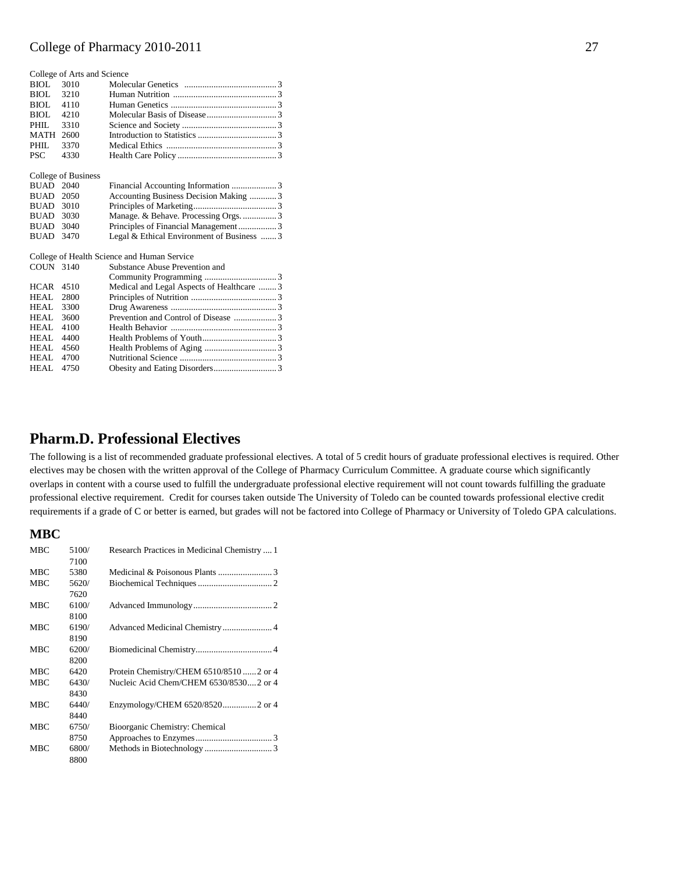|                  | College of Arts and Science |                                             |  |
|------------------|-----------------------------|---------------------------------------------|--|
| BIOL             | 3010                        |                                             |  |
| BIOL             | 3210                        |                                             |  |
| BIOL             | 4110                        |                                             |  |
| BIOL             | 4210                        |                                             |  |
| PHIL.            | 3310                        |                                             |  |
| MATH             | 2600                        |                                             |  |
| PHIL.            | 3370                        |                                             |  |
| <b>PSC</b>       | 4330                        |                                             |  |
|                  |                             |                                             |  |
|                  | College of Business         |                                             |  |
| <b>BUAD</b>      | 2040                        | Financial Accounting Information 3          |  |
| <b>BUAD</b>      | 2050                        | Accounting Business Decision Making 3       |  |
| <b>BUAD 3010</b> |                             |                                             |  |
| BUAD             | 3030                        | Manage. & Behave. Processing Orgs.  3       |  |
| <b>BUAD</b>      | 3040                        | Principles of Financial Management3         |  |
| BUAD             | 3470                        | Legal & Ethical Environment of Business 3   |  |
|                  |                             | College of Health Science and Human Service |  |
| COUN 3140        |                             | Substance Abuse Prevention and              |  |
|                  |                             |                                             |  |
| <b>HCAR</b>      | 4510                        | Medical and Legal Aspects of Healthcare  3  |  |
| HEAL             | 2800                        |                                             |  |
| HEAL             | 3300                        |                                             |  |
| HEAL.            | 3600                        |                                             |  |
| HEAL.            | 4100                        |                                             |  |
| HEAL             | 4400                        |                                             |  |
| HEAL.            | 4560                        |                                             |  |
| HEAL             | 4700                        |                                             |  |
| HEAL             | 4750                        |                                             |  |
|                  |                             |                                             |  |

# **Pharm.D. Professional Electives**

The following is a list of recommended graduate professional electives. A total of 5 credit hours of graduate professional electives is required. Other electives may be chosen with the written approval of the College of Pharmacy Curriculum Committee. A graduate course which significantly overlaps in content with a course used to fulfill the undergraduate professional elective requirement will not count towards fulfilling the graduate professional elective requirement. Credit for courses taken outside The University of Toledo can be counted towards professional elective credit requirements if a grade of C or better is earned, but grades will not be factored into College of Pharmacy or University of Toledo GPA calculations.

### **MBC**

| <b>MBC</b> | 5100/ | Research Practices in Medicinal Chemistry  1 |
|------------|-------|----------------------------------------------|
|            | 7100  |                                              |
| <b>MBC</b> | 5380  |                                              |
| <b>MBC</b> | 5620/ |                                              |
|            | 7620  |                                              |
| <b>MBC</b> | 6100/ |                                              |
|            | 8100  |                                              |
| <b>MBC</b> | 6190/ |                                              |
|            | 8190  |                                              |
| <b>MBC</b> | 6200/ |                                              |
|            | 8200  |                                              |
| <b>MBC</b> | 6420  | Protein Chemistry/CHEM 6510/8510  2 or 4     |
| <b>MBC</b> | 6430/ | Nucleic Acid Chem/CHEM 6530/85302 or 4       |
|            | 8430  |                                              |
| <b>MBC</b> | 6440/ | Enzymology/CHEM 6520/85202 or 4              |
|            | 8440  |                                              |
| <b>MBC</b> | 6750/ | Bioorganic Chemistry: Chemical               |
|            | 8750  |                                              |
| <b>MBC</b> | 6800/ |                                              |
|            | 8800  |                                              |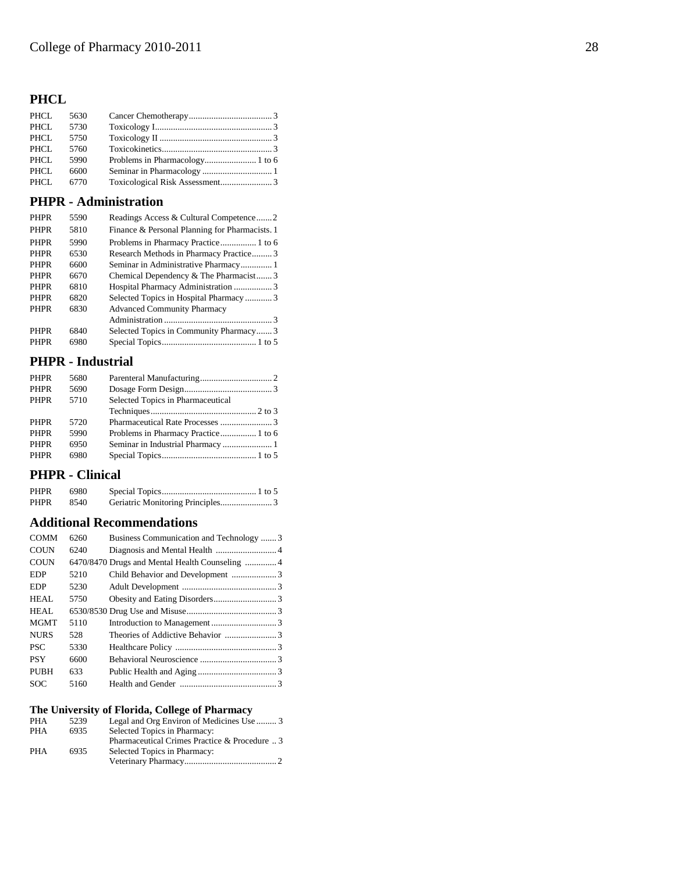# **PHCL**

| PHCL 5630 |  |  |
|-----------|--|--|
| PHCL 5730 |  |  |
| PHCL 5750 |  |  |
| PHCL 5760 |  |  |
| PHCL 5990 |  |  |
| PHCL 6600 |  |  |
| PHCL 6770 |  |  |

### **PHPR - Administration**

| <b>PHPR</b> | 5590 | Readings Access & Cultural Competence2         |
|-------------|------|------------------------------------------------|
| <b>PHPR</b> | 5810 | Finance & Personal Planning for Pharmacists. 1 |
| <b>PHPR</b> | 5990 | Problems in Pharmacy Practice 1 to 6           |
| <b>PHPR</b> | 6530 | Research Methods in Pharmacy Practice3         |
| <b>PHPR</b> | 6600 |                                                |
| <b>PHPR</b> | 6670 | Chemical Dependency & The Pharmacist3          |
| <b>PHPR</b> | 6810 | Hospital Pharmacy Administration 3             |
| <b>PHPR</b> | 6820 | Selected Topics in Hospital Pharmacy 3         |
| <b>PHPR</b> | 6830 | <b>Advanced Community Pharmacy</b>             |
|             |      |                                                |
| <b>PHPR</b> | 6840 | Selected Topics in Community Pharmacy3         |
| <b>PHPR</b> | 6980 |                                                |

### **PHPR - Industrial**

| <b>PHPR</b> | 5680 |                                   |  |
|-------------|------|-----------------------------------|--|
| <b>PHPR</b> | 5690 |                                   |  |
| <b>PHPR</b> | 5710 | Selected Topics in Pharmaceutical |  |
|             |      |                                   |  |
| <b>PHPR</b> | 5720 |                                   |  |
| <b>PHPR</b> | 5990 |                                   |  |
| <b>PHPR</b> | 6950 |                                   |  |
| <b>PHPR</b> | 6980 |                                   |  |
|             |      |                                   |  |

## **PHPR - Clinical**

| PHPR | 6980  |  |
|------|-------|--|
| PHPR | -8540 |  |

# **Additional Recommendations**

| <b>COMM</b> | 6260 | Business Communication and Technology 3 |  |
|-------------|------|-----------------------------------------|--|
| <b>COUN</b> | 6240 |                                         |  |
| <b>COUN</b> |      |                                         |  |
| <b>EDP</b>  | 5210 |                                         |  |
| <b>EDP</b>  | 5230 |                                         |  |
| HEAL        | 5750 |                                         |  |
| <b>HEAL</b> |      |                                         |  |
| <b>MGMT</b> | 5110 |                                         |  |
| <b>NURS</b> | 528  |                                         |  |
| <b>PSC</b>  | 5330 |                                         |  |
| <b>PSY</b>  | 6600 |                                         |  |
| <b>PUBH</b> | 633  |                                         |  |
| <b>SOC</b>  | 5160 |                                         |  |

# **The University of Florida, College of Pharmacy**

| <b>PHA</b> | 5239 | Legal and Org Environ of Medicines Use  3     |
|------------|------|-----------------------------------------------|
| <b>PHA</b> | 6935 | Selected Topics in Pharmacy:                  |
|            |      | Pharmaceutical Crimes Practice & Procedure  3 |
| <b>PHA</b> | 6935 | Selected Topics in Pharmacy:                  |
|            |      |                                               |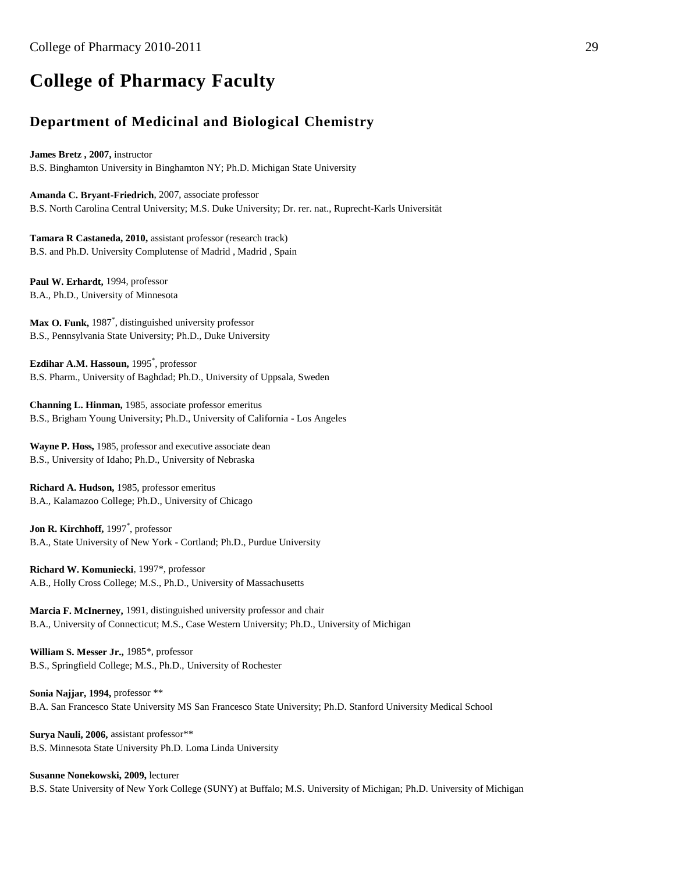# **College of Pharmacy Faculty**

# **Department of Medicinal and Biological Chemistry**

**James Bretz , 2007,** instructor B.S. Binghamton University in Binghamton NY; Ph.D. Michigan State University

**Amanda C. Bryant-Friedrich**, 2007, associate professor B.S. North Carolina Central University; M.S. Duke University; Dr. rer. nat., Ruprecht-Karls Universität

**Tamara R Castaneda, 2010,** assistant professor (research track) B.S. and Ph.D. University Complutense of Madrid , Madrid , Spain

Paul W. Erhardt, 1994, professor B.A., Ph.D., University of Minnesota

**Max O. Funk,** 1987\* , distinguished university professor B.S., Pennsylvania State University; Ph.D., Duke University

**Ezdihar A.M. Hassoun,** 1995\* , professor B.S. Pharm., University of Baghdad; Ph.D., University of Uppsala, Sweden

**Channing L. Hinman,** 1985, associate professor emeritus B.S., Brigham Young University; Ph.D., University of California - Los Angeles

**Wayne P. Hoss,** 1985, professor and executive associate dean B.S., University of Idaho; Ph.D., University of Nebraska

**Richard A. Hudson,** 1985, professor emeritus B.A., Kalamazoo College; Ph.D., University of Chicago

**Jon R. Kirchhoff,** 1997\* , professor B.A., State University of New York - Cortland; Ph.D., Purdue University

**Richard W. Komuniecki**, 1997\*, professor A.B., Holly Cross College; M.S., Ph.D., University of Massachusetts

**Marcia F. McInerney,** 1991, distinguished university professor and chair B.A., University of Connecticut; M.S., Case Western University; Ph.D., University of Michigan

**William S. Messer Jr.,** 1985\*, professor B.S., Springfield College; M.S., Ph.D., University of Rochester

**Sonia Najjar, 1994,** professor \*\* B.A. San Francesco State University MS San Francesco State University; Ph.D. Stanford University Medical School

Surva Nauli, 2006, assistant professor\*\* B.S. Minnesota State University Ph.D. Loma Linda University

**Susanne Nonekowski, 2009,** lecturer B.S. State University of New York College (SUNY) at Buffalo; M.S. University of Michigan; Ph.D. University of Michigan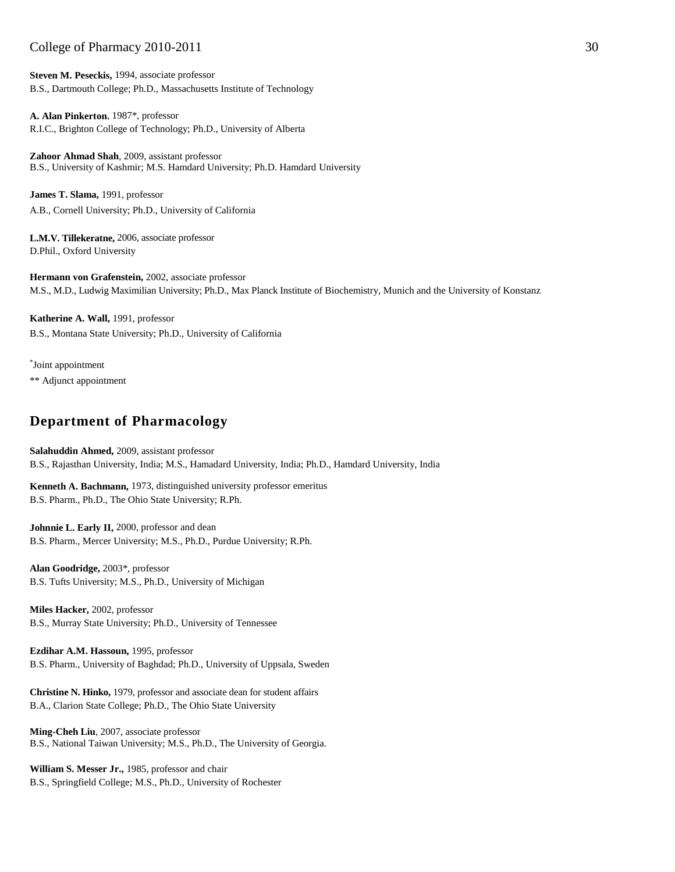**Steven M. Peseckis,** 1994, associate professor B.S., Dartmouth College; Ph.D., Massachusetts Institute of Technology

**A. Alan Pinkerton**, 1987\*, professor R.I.C., Brighton College of Technology; Ph.D., University of Alberta

**Zahoor Ahmad Shah**, 2009, assistant professor B.S., University of Kashmir; M.S. Hamdard University; Ph.D. Hamdard University

**James T. Slama,** 1991, professor A.B., Cornell University; Ph.D., University of California

**L.M.V. Tillekeratne,** 2006, associate professor D.Phil., Oxford University

**Hermann von Grafenstein,** 2002, associate professor M.S., M.D., Ludwig Maximilian University; Ph.D., Max Planck Institute of Biochemistry, Munich and the University of Konstanz

**Katherine A. Wall,** 1991, professor B.S., Montana State University; Ph.D., University of California

\* Joint appointment \*\* Adjunct appointment

# **Department of Pharmacology**

**Salahuddin Ahmed,** 2009, assistant professor B.S., Rajasthan University, India; M.S., Hamadard University, India; Ph.D., Hamdard University, India

**Kenneth A. Bachmann,** 1973, distinguished university professor emeritus B.S. Pharm., Ph.D., The Ohio State University; R.Ph.

**Johnnie L. Early II,** 2000, professor and dean B.S. Pharm., Mercer University; M.S., Ph.D., Purdue University; R.Ph.

**Alan Goodridge,** 2003\*, professor B.S. Tufts University; M.S., Ph.D., University of Michigan

**Miles Hacker,** 2002, professor B.S., Murray State University; Ph.D., University of Tennessee

**Ezdihar A.M. Hassoun,** 1995, professor B.S. Pharm., University of Baghdad; Ph.D., University of Uppsala, Sweden

**Christine N. Hinko,** 1979, professor and associate dean for student affairs B.A., Clarion State College; Ph.D., The Ohio State University

**Ming-Cheh Liu**, 2007, associate professor B.S., National Taiwan University; M.S., Ph.D., The University of Georgia.

**William S. Messer Jr.,** 1985, professor and chair B.S., Springfield College; M.S., Ph.D., University of Rochester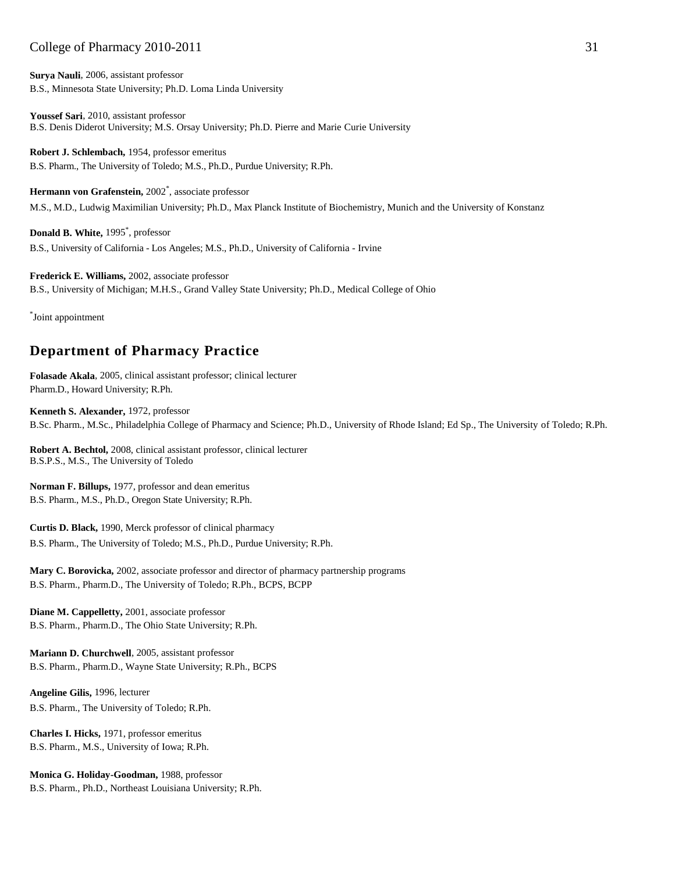**Surya Nauli**, 2006, assistant professor B.S., Minnesota State University; Ph.D. Loma Linda University

**Youssef Sari**, 2010, assistant professor B.S. Denis Diderot University; M.S. Orsay University; Ph.D. Pierre and Marie Curie University

**Robert J. Schlembach,** 1954, professor emeritus B.S. Pharm., The University of Toledo; M.S., Ph.D., Purdue University; R.Ph.

**Hermann von Grafenstein,** 2002\* , associate professor M.S., M.D., Ludwig Maximilian University; Ph.D., Max Planck Institute of Biochemistry, Munich and the University of Konstanz

**Donald B. White,** 1995\* , professor B.S., University of California - Los Angeles; M.S., Ph.D., University of California - Irvine

**Frederick E. Williams,** 2002, associate professor B.S., University of Michigan; M.H.S., Grand Valley State University; Ph.D., Medical College of Ohio

\* Joint appointment

# **Department of Pharmacy Practice**

**Folasade Akala**, 2005, clinical assistant professor; clinical lecturer Pharm.D., Howard University; R.Ph.

**Kenneth S. Alexander,** 1972, professor B.Sc. Pharm., M.Sc., Philadelphia College of Pharmacy and Science; Ph.D., University of Rhode Island; Ed Sp., The University of Toledo; R.Ph.

**Robert A. Bechtol,** 2008, clinical assistant professor, clinical lecturer B.S.P.S., M.S., The University of Toledo

**Norman F. Billups,** 1977, professor and dean emeritus B.S. Pharm., M.S., Ph.D., Oregon State University; R.Ph.

**Curtis D. Black,** 1990, Merck professor of clinical pharmacy B.S. Pharm., The University of Toledo; M.S., Ph.D., Purdue University; R.Ph.

**Mary C. Borovicka,** 2002, associate professor and director of pharmacy partnership programs B.S. Pharm., Pharm.D., The University of Toledo; R.Ph., BCPS, BCPP

**Diane M. Cappelletty,** 2001, associate professor B.S. Pharm., Pharm.D., The Ohio State University; R.Ph.

**Mariann D. Churchwell**, 2005, assistant professor B.S. Pharm., Pharm.D., Wayne State University; R.Ph., BCPS

**Angeline Gilis,** 1996, lecturer B.S. Pharm., The University of Toledo; R.Ph.

**Charles I. Hicks,** 1971, professor emeritus B.S. Pharm., M.S., University of Iowa; R.Ph.

**Monica G. Holiday-Goodman,** 1988, professor B.S. Pharm., Ph.D., Northeast Louisiana University; R.Ph.